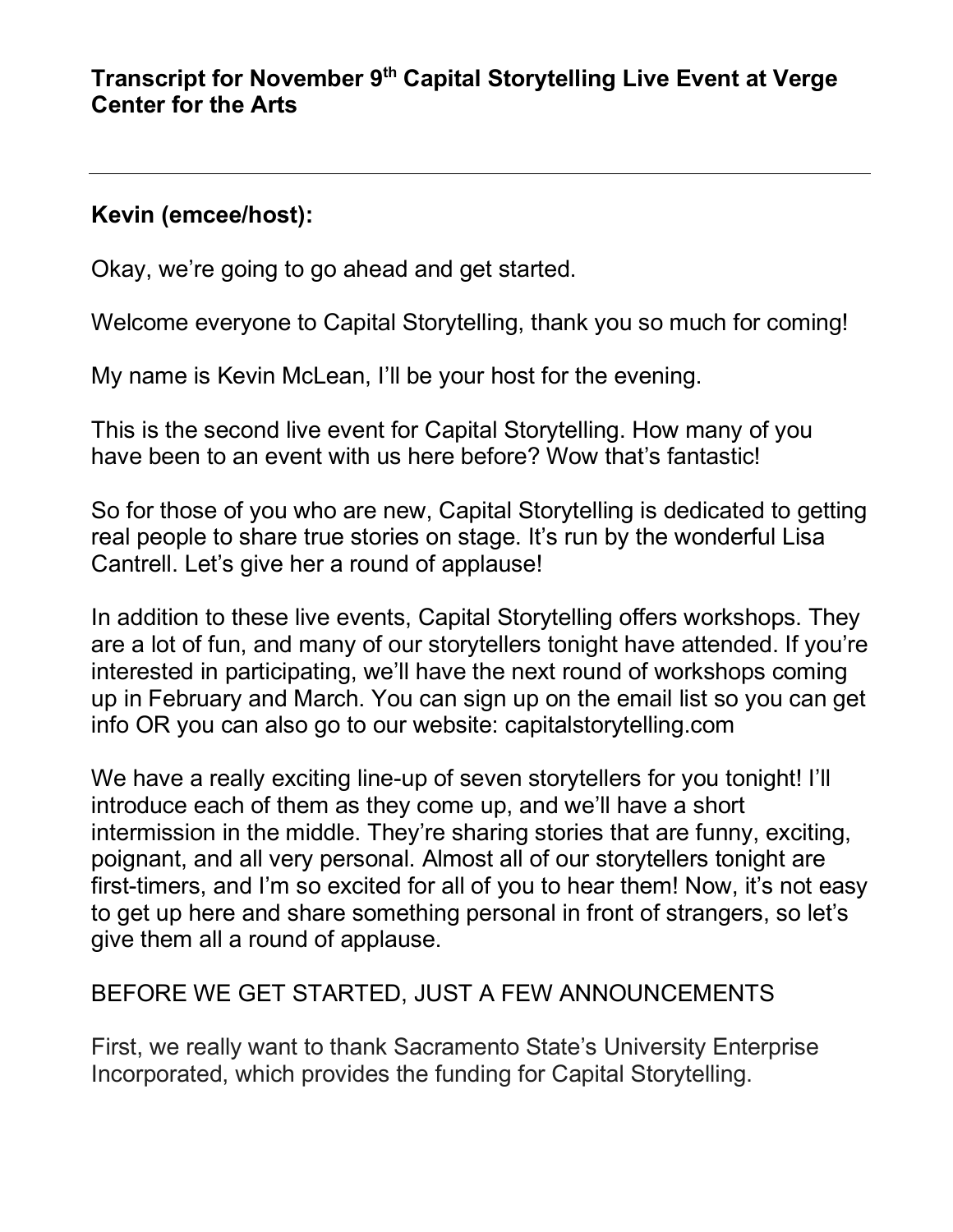#### **Transcript for November 9th Capital Storytelling Live Event at Verge Center for the Arts**

### **Kevin (emcee/host):**

Okay, we're going to go ahead and get started.

Welcome everyone to Capital Storytelling, thank you so much for coming!

My name is Kevin McLean, I'll be your host for the evening.

This is the second live event for Capital Storytelling. How many of you have been to an event with us here before? Wow that's fantastic!

So for those of you who are new, Capital Storytelling is dedicated to getting real people to share true stories on stage. It's run by the wonderful Lisa Cantrell. Let's give her a round of applause!

In addition to these live events, Capital Storytelling offers workshops. They are a lot of fun, and many of our storytellers tonight have attended. If you're interested in participating, we'll have the next round of workshops coming up in February and March. You can sign up on the email list so you can get info OR you can also go to our website: capitalstorytelling.com

We have a really exciting line-up of seven storytellers for you tonight! I'll introduce each of them as they come up, and we'll have a short intermission in the middle. They're sharing stories that are funny, exciting, poignant, and all very personal. Almost all of our storytellers tonight are first-timers, and I'm so excited for all of you to hear them! Now, it's not easy to get up here and share something personal in front of strangers, so let's give them all a round of applause.

# BEFORE WE GET STARTED, JUST A FEW ANNOUNCEMENTS

First, we really want to thank Sacramento State's University Enterprise Incorporated, which provides the funding for Capital Storytelling.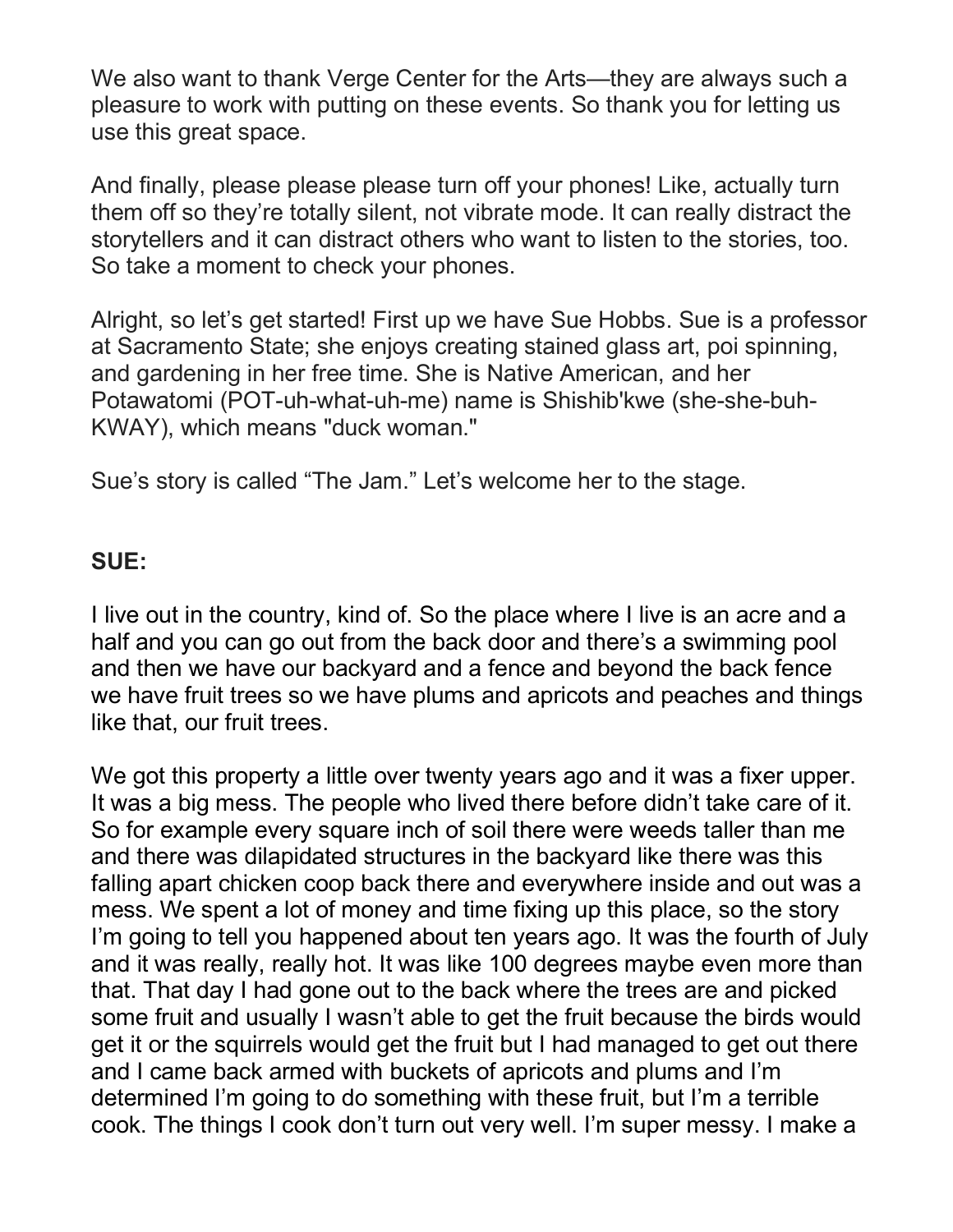We also want to thank Verge Center for the Arts—they are always such a pleasure to work with putting on these events. So thank you for letting us use this great space.

And finally, please please please turn off your phones! Like, actually turn them off so they're totally silent, not vibrate mode. It can really distract the storytellers and it can distract others who want to listen to the stories, too. So take a moment to check your phones.

Alright, so let's get started! First up we have Sue Hobbs. Sue is a professor at Sacramento State; she enjoys creating stained glass art, poi spinning, and gardening in her free time. She is Native American, and her Potawatomi (POT-uh-what-uh-me) name is Shishib'kwe (she-she-buh-KWAY), which means "duck woman."

Sue's story is called "The Jam." Let's welcome her to the stage.

#### **SUE:**

I live out in the country, kind of. So the place where I live is an acre and a half and you can go out from the back door and there's a swimming pool and then we have our backyard and a fence and beyond the back fence we have fruit trees so we have plums and apricots and peaches and things like that, our fruit trees.

We got this property a little over twenty years ago and it was a fixer upper. It was a big mess. The people who lived there before didn't take care of it. So for example every square inch of soil there were weeds taller than me and there was dilapidated structures in the backyard like there was this falling apart chicken coop back there and everywhere inside and out was a mess. We spent a lot of money and time fixing up this place, so the story I'm going to tell you happened about ten years ago. It was the fourth of July and it was really, really hot. It was like 100 degrees maybe even more than that. That day I had gone out to the back where the trees are and picked some fruit and usually I wasn't able to get the fruit because the birds would get it or the squirrels would get the fruit but I had managed to get out there and I came back armed with buckets of apricots and plums and I'm determined I'm going to do something with these fruit, but I'm a terrible cook. The things I cook don't turn out very well. I'm super messy. I make a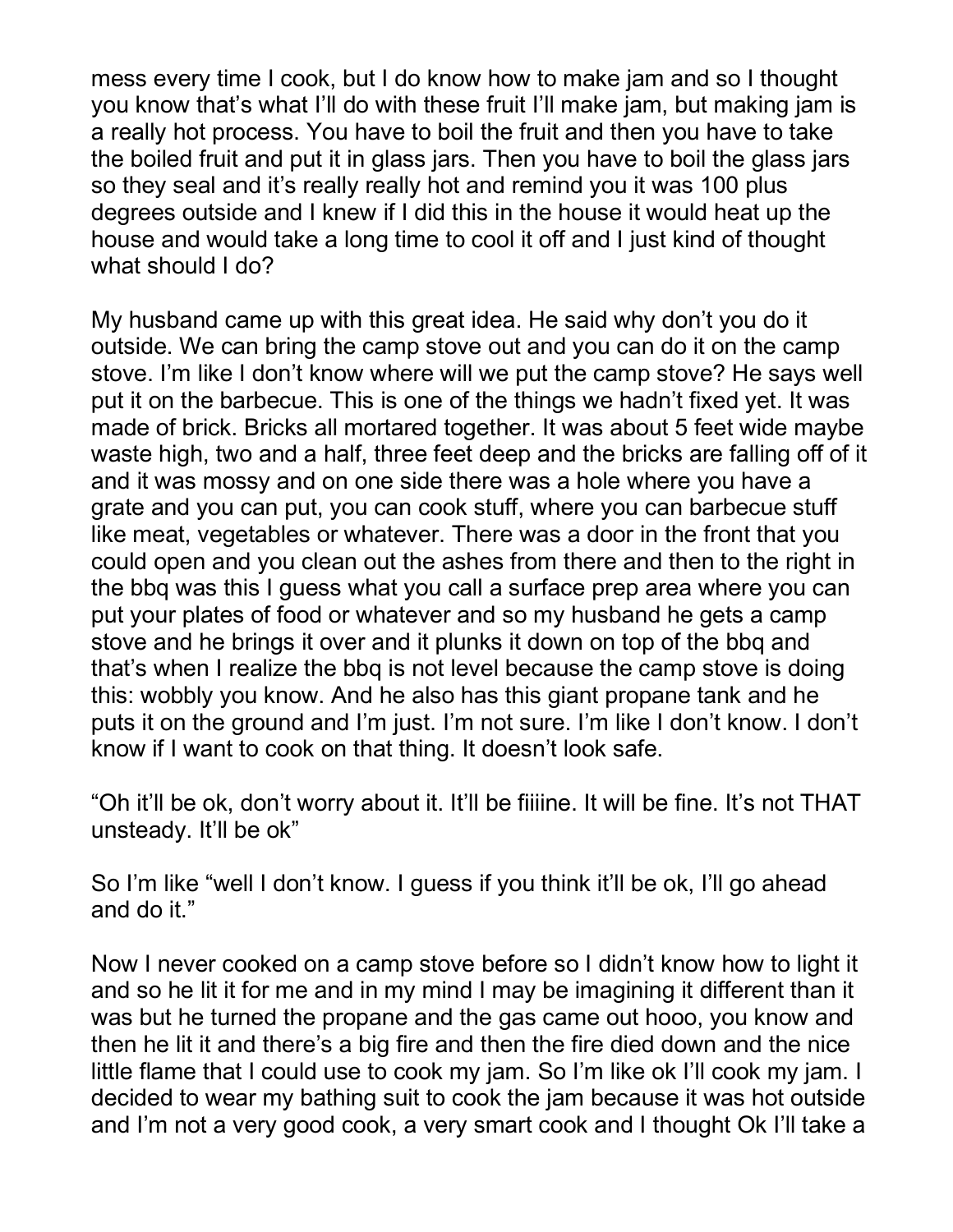mess every time I cook, but I do know how to make jam and so I thought you know that's what I'll do with these fruit I'll make jam, but making jam is a really hot process. You have to boil the fruit and then you have to take the boiled fruit and put it in glass jars. Then you have to boil the glass jars so they seal and it's really really hot and remind you it was 100 plus degrees outside and I knew if I did this in the house it would heat up the house and would take a long time to cool it off and I just kind of thought what should I do?

My husband came up with this great idea. He said why don't you do it outside. We can bring the camp stove out and you can do it on the camp stove. I'm like I don't know where will we put the camp stove? He says well put it on the barbecue. This is one of the things we hadn't fixed yet. It was made of brick. Bricks all mortared together. It was about 5 feet wide maybe waste high, two and a half, three feet deep and the bricks are falling off of it and it was mossy and on one side there was a hole where you have a grate and you can put, you can cook stuff, where you can barbecue stuff like meat, vegetables or whatever. There was a door in the front that you could open and you clean out the ashes from there and then to the right in the bbq was this I guess what you call a surface prep area where you can put your plates of food or whatever and so my husband he gets a camp stove and he brings it over and it plunks it down on top of the bbq and that's when I realize the bbq is not level because the camp stove is doing this: wobbly you know. And he also has this giant propane tank and he puts it on the ground and I'm just. I'm not sure. I'm like I don't know. I don't know if I want to cook on that thing. It doesn't look safe.

"Oh it'll be ok, don't worry about it. It'll be fiiiine. It will be fine. It's not THAT unsteady. It'll be ok"

So I'm like "well I don't know. I guess if you think it'll be ok, I'll go ahead and do it."

Now I never cooked on a camp stove before so I didn't know how to light it and so he lit it for me and in my mind I may be imagining it different than it was but he turned the propane and the gas came out hooo, you know and then he lit it and there's a big fire and then the fire died down and the nice little flame that I could use to cook my jam. So I'm like ok I'll cook my jam. I decided to wear my bathing suit to cook the jam because it was hot outside and I'm not a very good cook, a very smart cook and I thought Ok I'll take a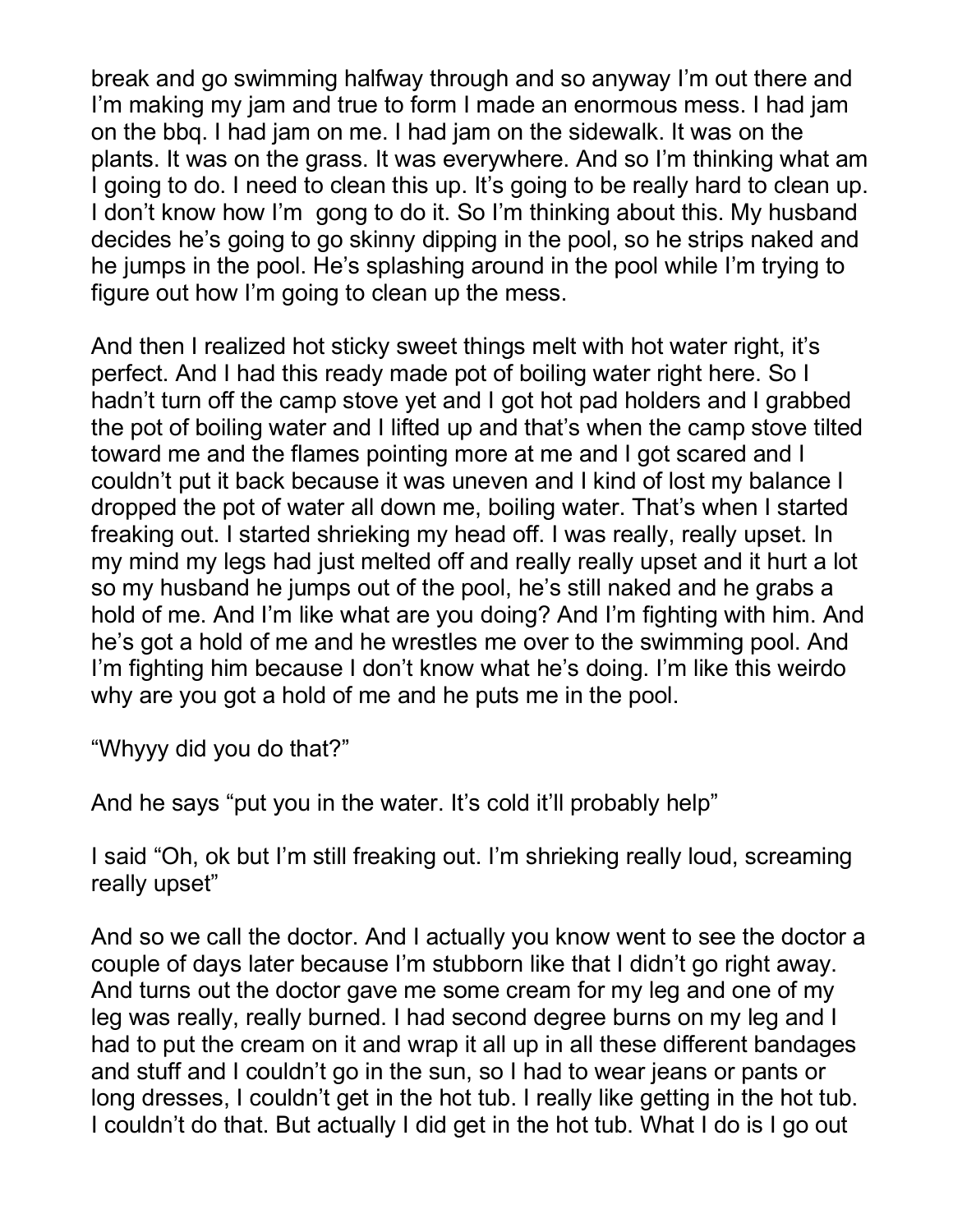break and go swimming halfway through and so anyway I'm out there and I'm making my jam and true to form I made an enormous mess. I had jam on the bbq. I had jam on me. I had jam on the sidewalk. It was on the plants. It was on the grass. It was everywhere. And so I'm thinking what am I going to do. I need to clean this up. It's going to be really hard to clean up. I don't know how I'm gong to do it. So I'm thinking about this. My husband decides he's going to go skinny dipping in the pool, so he strips naked and he jumps in the pool. He's splashing around in the pool while I'm trying to figure out how I'm going to clean up the mess.

And then I realized hot sticky sweet things melt with hot water right, it's perfect. And I had this ready made pot of boiling water right here. So I hadn't turn off the camp stove yet and I got hot pad holders and I grabbed the pot of boiling water and I lifted up and that's when the camp stove tilted toward me and the flames pointing more at me and I got scared and I couldn't put it back because it was uneven and I kind of lost my balance I dropped the pot of water all down me, boiling water. That's when I started freaking out. I started shrieking my head off. I was really, really upset. In my mind my legs had just melted off and really really upset and it hurt a lot so my husband he jumps out of the pool, he's still naked and he grabs a hold of me. And I'm like what are you doing? And I'm fighting with him. And he's got a hold of me and he wrestles me over to the swimming pool. And I'm fighting him because I don't know what he's doing. I'm like this weirdo why are you got a hold of me and he puts me in the pool.

"Whyyy did you do that?"

And he says "put you in the water. It's cold it'll probably help"

I said "Oh, ok but I'm still freaking out. I'm shrieking really loud, screaming really upset"

And so we call the doctor. And I actually you know went to see the doctor a couple of days later because I'm stubborn like that I didn't go right away. And turns out the doctor gave me some cream for my leg and one of my leg was really, really burned. I had second degree burns on my leg and I had to put the cream on it and wrap it all up in all these different bandages and stuff and I couldn't go in the sun, so I had to wear jeans or pants or long dresses, I couldn't get in the hot tub. I really like getting in the hot tub. I couldn't do that. But actually I did get in the hot tub. What I do is I go out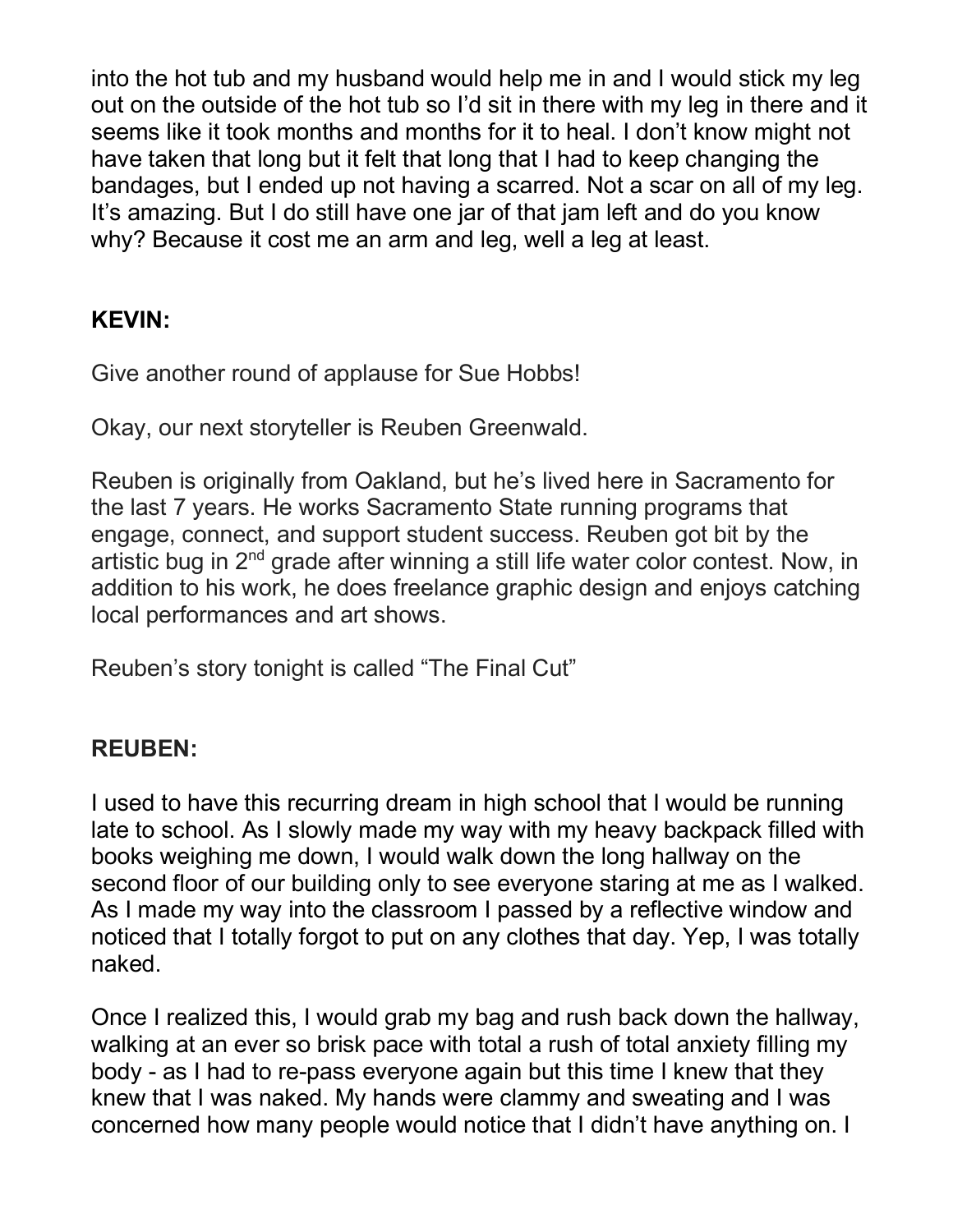into the hot tub and my husband would help me in and I would stick my leg out on the outside of the hot tub so I'd sit in there with my leg in there and it seems like it took months and months for it to heal. I don't know might not have taken that long but it felt that long that I had to keep changing the bandages, but I ended up not having a scarred. Not a scar on all of my leg. It's amazing. But I do still have one jar of that jam left and do you know why? Because it cost me an arm and leg, well a leg at least.

# **KEVIN:**

Give another round of applause for Sue Hobbs!

Okay, our next storyteller is Reuben Greenwald.

Reuben is originally from Oakland, but he's lived here in Sacramento for the last 7 years. He works Sacramento State running programs that engage, connect, and support student success. Reuben got bit by the artistic bug in  $2<sup>nd</sup>$  grade after winning a still life water color contest. Now, in addition to his work, he does freelance graphic design and enjoys catching local performances and art shows.

Reuben's story tonight is called "The Final Cut"

# **REUBEN:**

I used to have this recurring dream in high school that I would be running late to school. As I slowly made my way with my heavy backpack filled with books weighing me down, I would walk down the long hallway on the second floor of our building only to see everyone staring at me as I walked. As I made my way into the classroom I passed by a reflective window and noticed that I totally forgot to put on any clothes that day. Yep, I was totally naked.

Once I realized this, I would grab my bag and rush back down the hallway, walking at an ever so brisk pace with total a rush of total anxiety filling my body - as I had to re-pass everyone again but this time I knew that they knew that I was naked. My hands were clammy and sweating and I was concerned how many people would notice that I didn't have anything on. I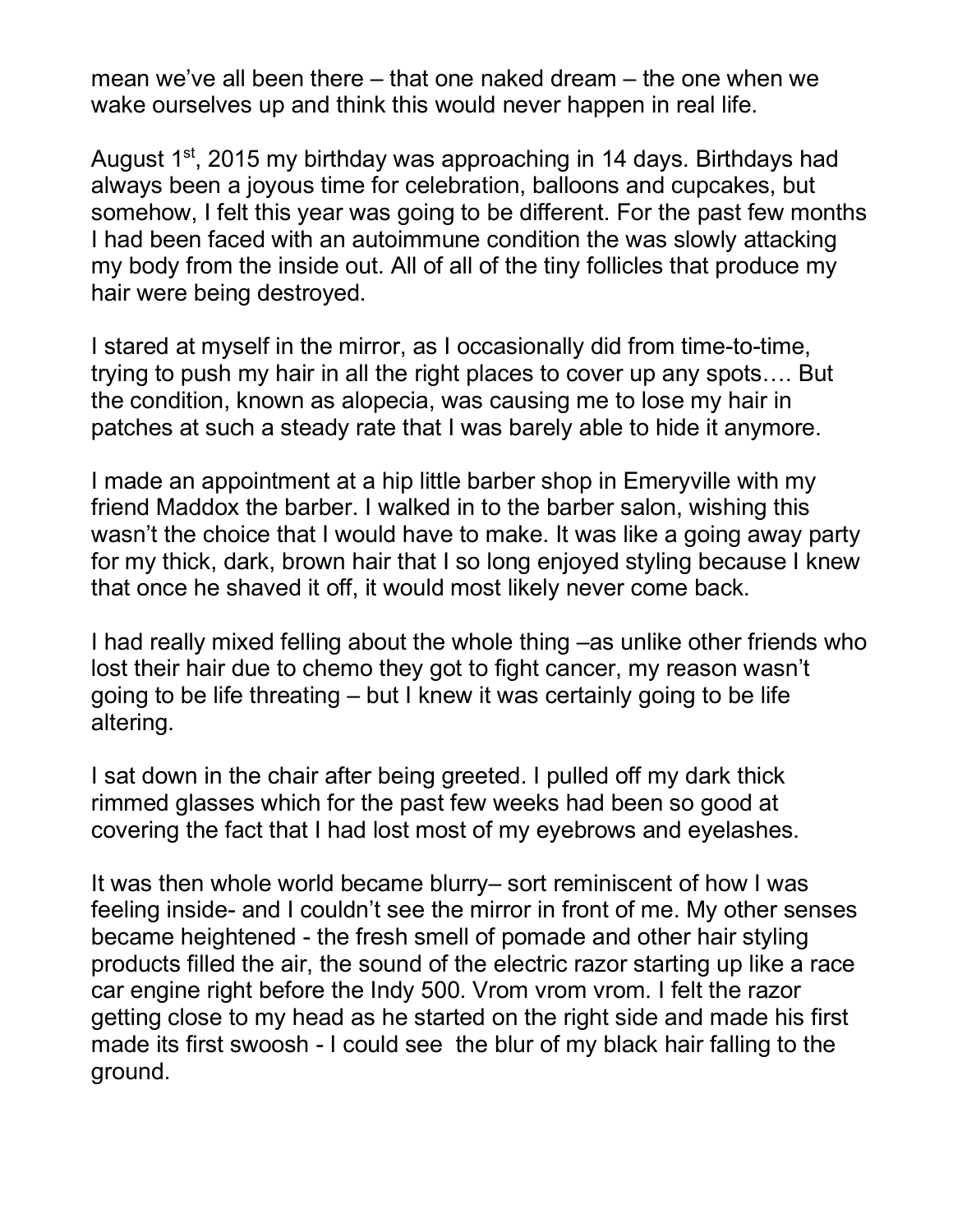mean we've all been there – that one naked dream – the one when we wake ourselves up and think this would never happen in real life.

August 1<sup>st</sup>, 2015 my birthday was approaching in 14 days. Birthdays had always been a joyous time for celebration, balloons and cupcakes, but somehow, I felt this year was going to be different. For the past few months I had been faced with an autoimmune condition the was slowly attacking my body from the inside out. All of all of the tiny follicles that produce my hair were being destroyed.

I stared at myself in the mirror, as I occasionally did from time-to-time, trying to push my hair in all the right places to cover up any spots…. But the condition, known as alopecia, was causing me to lose my hair in patches at such a steady rate that I was barely able to hide it anymore.

I made an appointment at a hip little barber shop in Emeryville with my friend Maddox the barber. I walked in to the barber salon, wishing this wasn't the choice that I would have to make. It was like a going away party for my thick, dark, brown hair that I so long enjoyed styling because I knew that once he shaved it off, it would most likely never come back.

I had really mixed felling about the whole thing –as unlike other friends who lost their hair due to chemo they got to fight cancer, my reason wasn't going to be life threating – but I knew it was certainly going to be life altering.

I sat down in the chair after being greeted. I pulled off my dark thick rimmed glasses which for the past few weeks had been so good at covering the fact that I had lost most of my eyebrows and eyelashes.

It was then whole world became blurry– sort reminiscent of how I was feeling inside- and I couldn't see the mirror in front of me. My other senses became heightened - the fresh smell of pomade and other hair styling products filled the air, the sound of the electric razor starting up like a race car engine right before the Indy 500. Vrom vrom vrom. I felt the razor getting close to my head as he started on the right side and made his first made its first swoosh - I could see the blur of my black hair falling to the ground.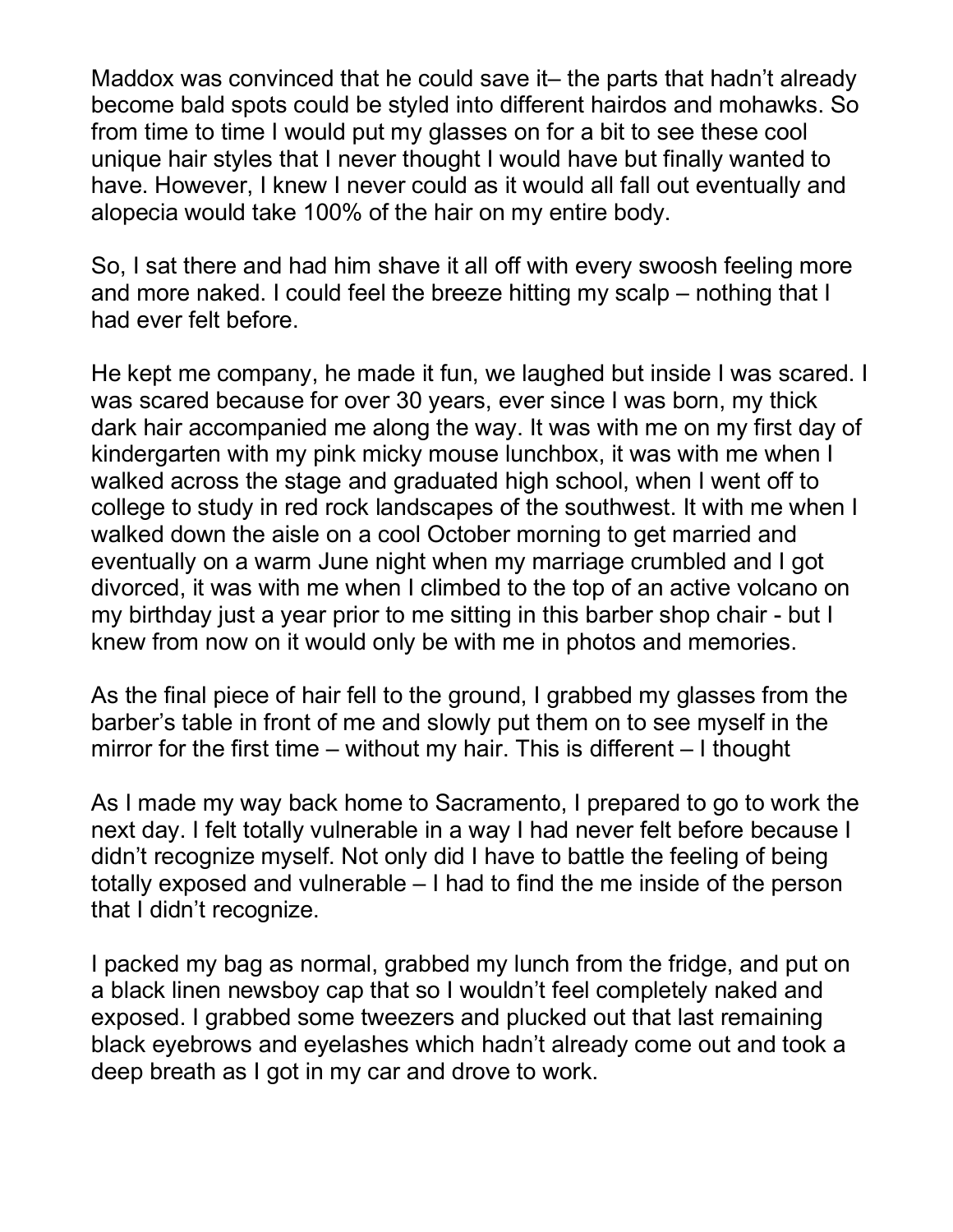Maddox was convinced that he could save it– the parts that hadn't already become bald spots could be styled into different hairdos and mohawks. So from time to time I would put my glasses on for a bit to see these cool unique hair styles that I never thought I would have but finally wanted to have. However, I knew I never could as it would all fall out eventually and alopecia would take 100% of the hair on my entire body.

So, I sat there and had him shave it all off with every swoosh feeling more and more naked. I could feel the breeze hitting my scalp – nothing that I had ever felt before.

He kept me company, he made it fun, we laughed but inside I was scared. I was scared because for over 30 years, ever since I was born, my thick dark hair accompanied me along the way. It was with me on my first day of kindergarten with my pink micky mouse lunchbox, it was with me when I walked across the stage and graduated high school, when I went off to college to study in red rock landscapes of the southwest. It with me when I walked down the aisle on a cool October morning to get married and eventually on a warm June night when my marriage crumbled and I got divorced, it was with me when I climbed to the top of an active volcano on my birthday just a year prior to me sitting in this barber shop chair - but I knew from now on it would only be with me in photos and memories.

As the final piece of hair fell to the ground, I grabbed my glasses from the barber's table in front of me and slowly put them on to see myself in the mirror for the first time – without my hair. This is different – I thought

As I made my way back home to Sacramento, I prepared to go to work the next day. I felt totally vulnerable in a way I had never felt before because I didn't recognize myself. Not only did I have to battle the feeling of being totally exposed and vulnerable – I had to find the me inside of the person that I didn't recognize.

I packed my bag as normal, grabbed my lunch from the fridge, and put on a black linen newsboy cap that so I wouldn't feel completely naked and exposed. I grabbed some tweezers and plucked out that last remaining black eyebrows and eyelashes which hadn't already come out and took a deep breath as I got in my car and drove to work.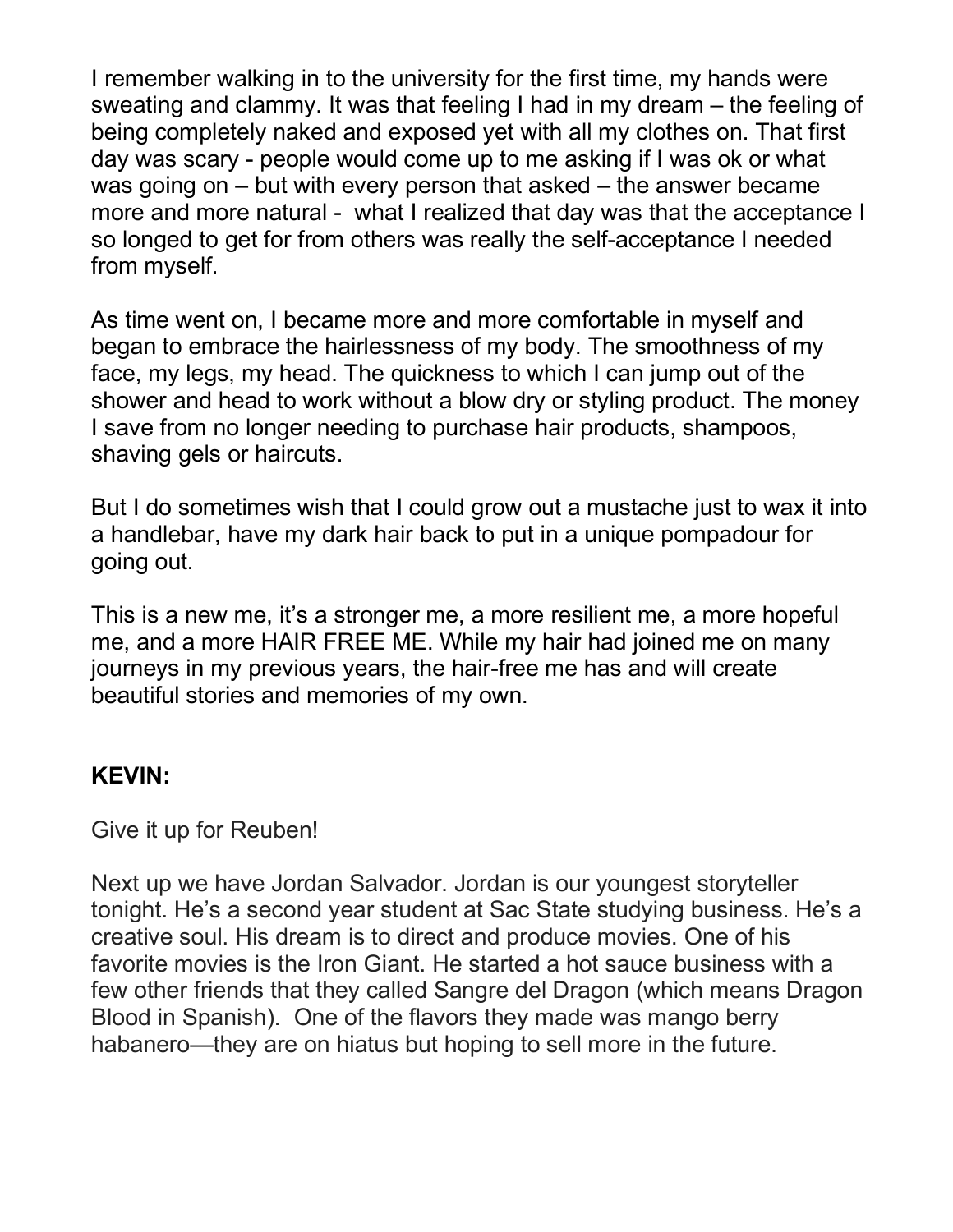I remember walking in to the university for the first time, my hands were sweating and clammy. It was that feeling I had in my dream – the feeling of being completely naked and exposed yet with all my clothes on. That first day was scary - people would come up to me asking if I was ok or what was going on – but with every person that asked – the answer became more and more natural - what I realized that day was that the acceptance I so longed to get for from others was really the self-acceptance I needed from myself.

As time went on, I became more and more comfortable in myself and began to embrace the hairlessness of my body. The smoothness of my face, my legs, my head. The quickness to which I can jump out of the shower and head to work without a blow dry or styling product. The money I save from no longer needing to purchase hair products, shampoos, shaving gels or haircuts.

But I do sometimes wish that I could grow out a mustache just to wax it into a handlebar, have my dark hair back to put in a unique pompadour for going out.

This is a new me, it's a stronger me, a more resilient me, a more hopeful me, and a more HAIR FREE ME. While my hair had joined me on many journeys in my previous years, the hair-free me has and will create beautiful stories and memories of my own.

#### **KEVIN:**

Give it up for Reuben!

Next up we have Jordan Salvador. Jordan is our youngest storyteller tonight. He's a second year student at Sac State studying business. He's a creative soul. His dream is to direct and produce movies. One of his favorite movies is the Iron Giant. He started a hot sauce business with a few other friends that they called Sangre del Dragon (which means Dragon Blood in Spanish). One of the flavors they made was mango berry habanero—they are on hiatus but hoping to sell more in the future.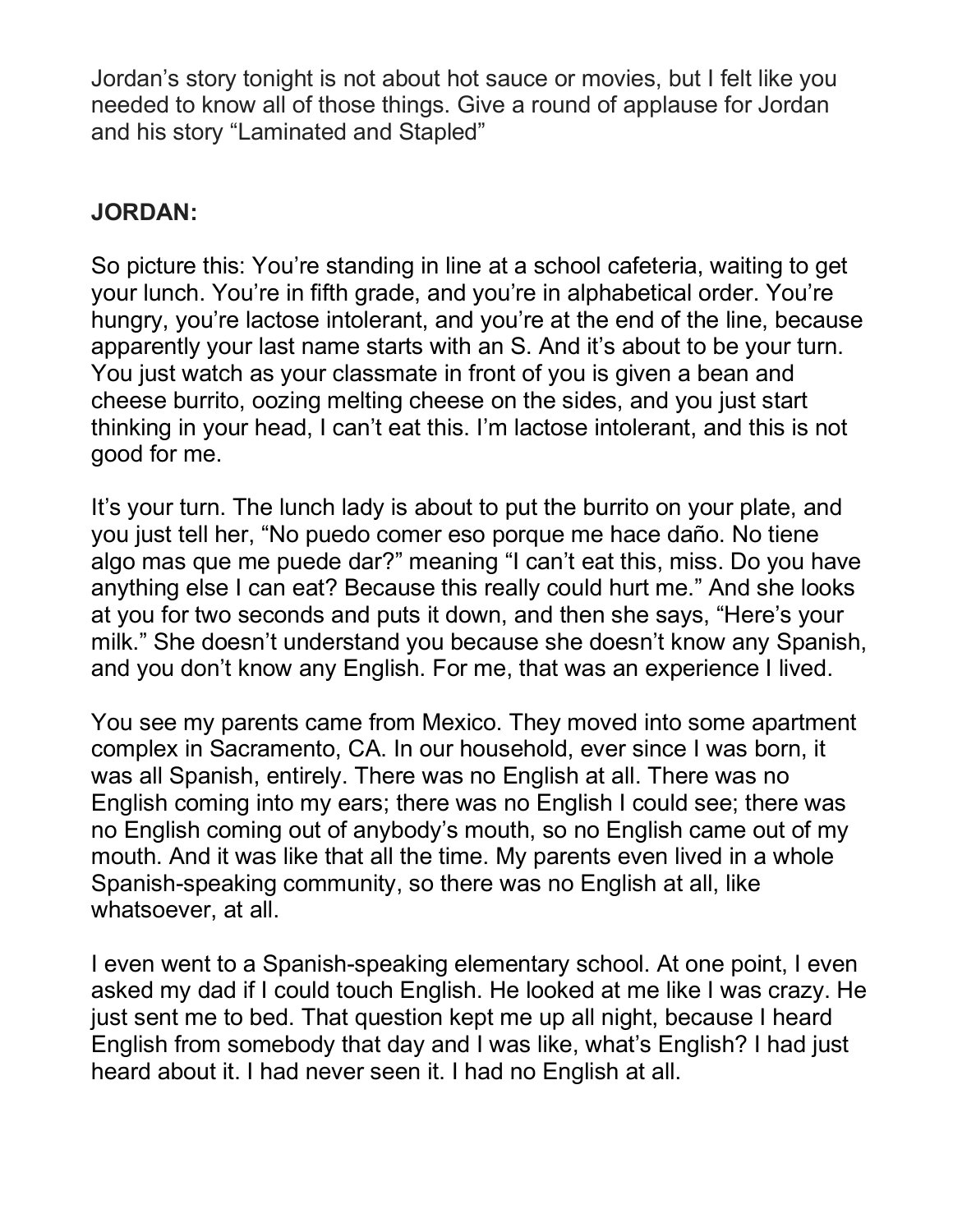Jordan's story tonight is not about hot sauce or movies, but I felt like you needed to know all of those things. Give a round of applause for Jordan and his story "Laminated and Stapled"

# **JORDAN:**

So picture this: You're standing in line at a school cafeteria, waiting to get your lunch. You're in fifth grade, and you're in alphabetical order. You're hungry, you're lactose intolerant, and you're at the end of the line, because apparently your last name starts with an S. And it's about to be your turn. You just watch as your classmate in front of you is given a bean and cheese burrito, oozing melting cheese on the sides, and you just start thinking in your head, I can't eat this. I'm lactose intolerant, and this is not good for me.

It's your turn. The lunch lady is about to put the burrito on your plate, and you just tell her, "No puedo comer eso porque me hace daño. No tiene algo mas que me puede dar?" meaning "I can't eat this, miss. Do you have anything else I can eat? Because this really could hurt me." And she looks at you for two seconds and puts it down, and then she says, "Here's your milk." She doesn't understand you because she doesn't know any Spanish, and you don't know any English. For me, that was an experience I lived.

You see my parents came from Mexico. They moved into some apartment complex in Sacramento, CA. In our household, ever since I was born, it was all Spanish, entirely. There was no English at all. There was no English coming into my ears; there was no English I could see; there was no English coming out of anybody's mouth, so no English came out of my mouth. And it was like that all the time. My parents even lived in a whole Spanish-speaking community, so there was no English at all, like whatsoever, at all.

I even went to a Spanish-speaking elementary school. At one point, I even asked my dad if I could touch English. He looked at me like I was crazy. He just sent me to bed. That question kept me up all night, because I heard English from somebody that day and I was like, what's English? I had just heard about it. I had never seen it. I had no English at all.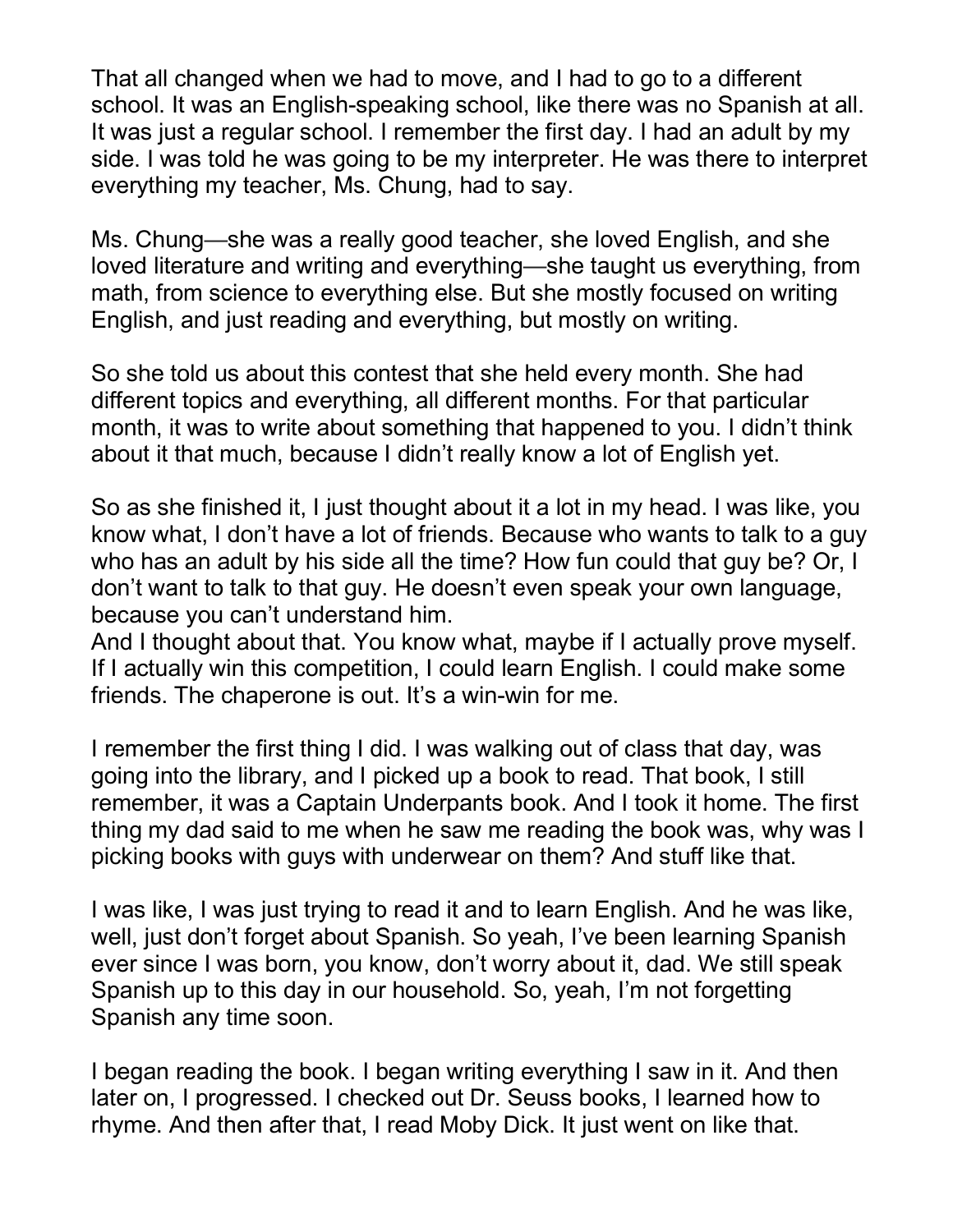That all changed when we had to move, and I had to go to a different school. It was an English-speaking school, like there was no Spanish at all. It was just a regular school. I remember the first day. I had an adult by my side. I was told he was going to be my interpreter. He was there to interpret everything my teacher, Ms. Chung, had to say.

Ms. Chung—she was a really good teacher, she loved English, and she loved literature and writing and everything—she taught us everything, from math, from science to everything else. But she mostly focused on writing English, and just reading and everything, but mostly on writing.

So she told us about this contest that she held every month. She had different topics and everything, all different months. For that particular month, it was to write about something that happened to you. I didn't think about it that much, because I didn't really know a lot of English yet.

So as she finished it, I just thought about it a lot in my head. I was like, you know what, I don't have a lot of friends. Because who wants to talk to a guy who has an adult by his side all the time? How fun could that guy be? Or, I don't want to talk to that guy. He doesn't even speak your own language, because you can't understand him.

And I thought about that. You know what, maybe if I actually prove myself. If I actually win this competition, I could learn English. I could make some friends. The chaperone is out. It's a win-win for me.

I remember the first thing I did. I was walking out of class that day, was going into the library, and I picked up a book to read. That book, I still remember, it was a Captain Underpants book. And I took it home. The first thing my dad said to me when he saw me reading the book was, why was I picking books with guys with underwear on them? And stuff like that.

I was like, I was just trying to read it and to learn English. And he was like, well, just don't forget about Spanish. So yeah, I've been learning Spanish ever since I was born, you know, don't worry about it, dad. We still speak Spanish up to this day in our household. So, yeah, I'm not forgetting Spanish any time soon.

I began reading the book. I began writing everything I saw in it. And then later on, I progressed. I checked out Dr. Seuss books, I learned how to rhyme. And then after that, I read Moby Dick. It just went on like that.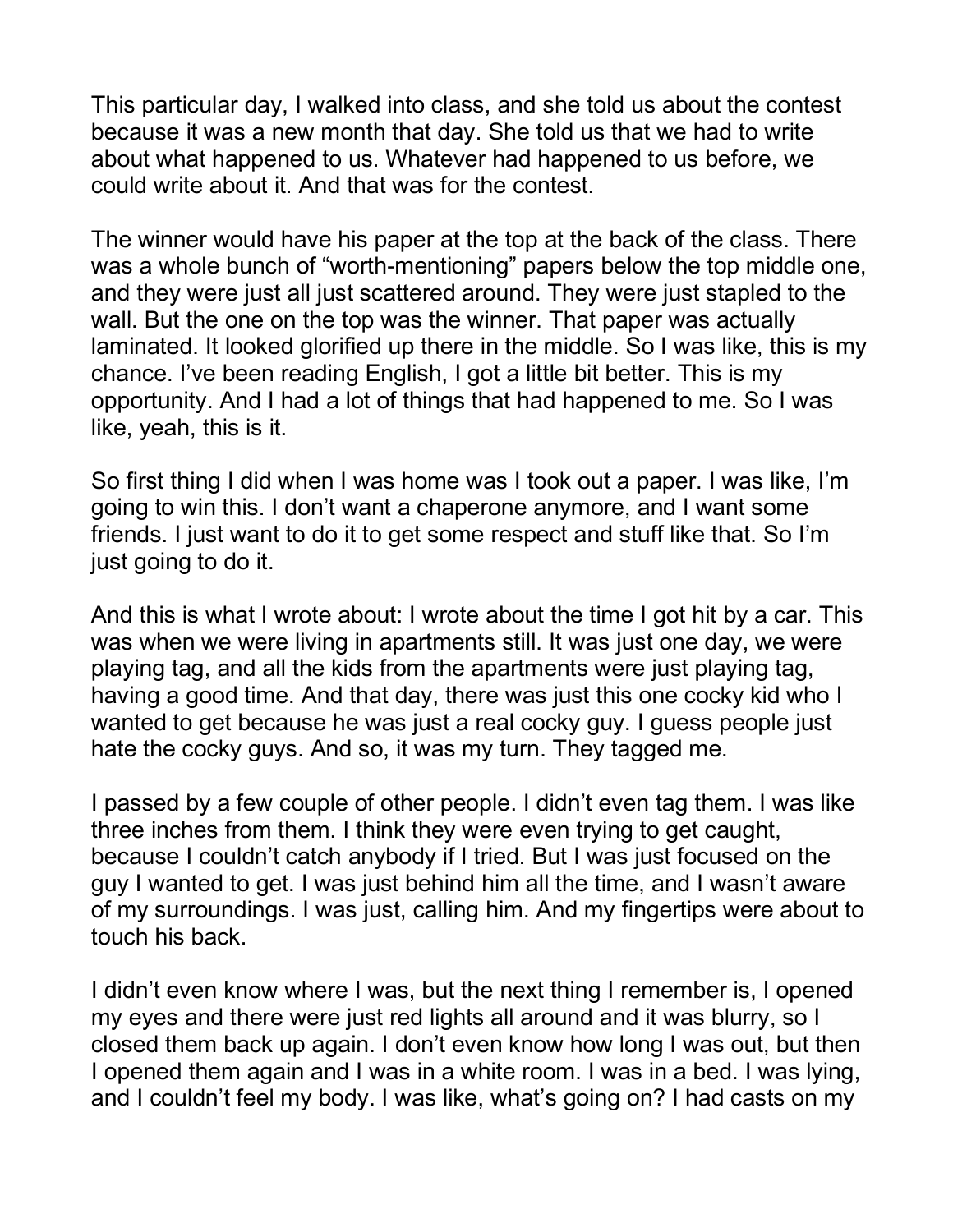This particular day, I walked into class, and she told us about the contest because it was a new month that day. She told us that we had to write about what happened to us. Whatever had happened to us before, we could write about it. And that was for the contest.

The winner would have his paper at the top at the back of the class. There was a whole bunch of "worth-mentioning" papers below the top middle one, and they were just all just scattered around. They were just stapled to the wall. But the one on the top was the winner. That paper was actually laminated. It looked glorified up there in the middle. So I was like, this is my chance. I've been reading English, I got a little bit better. This is my opportunity. And I had a lot of things that had happened to me. So I was like, yeah, this is it.

So first thing I did when I was home was I took out a paper. I was like, I'm going to win this. I don't want a chaperone anymore, and I want some friends. I just want to do it to get some respect and stuff like that. So I'm just going to do it.

And this is what I wrote about: I wrote about the time I got hit by a car. This was when we were living in apartments still. It was just one day, we were playing tag, and all the kids from the apartments were just playing tag, having a good time. And that day, there was just this one cocky kid who I wanted to get because he was just a real cocky guy. I guess people just hate the cocky guys. And so, it was my turn. They tagged me.

I passed by a few couple of other people. I didn't even tag them. I was like three inches from them. I think they were even trying to get caught, because I couldn't catch anybody if I tried. But I was just focused on the guy I wanted to get. I was just behind him all the time, and I wasn't aware of my surroundings. I was just, calling him. And my fingertips were about to touch his back.

I didn't even know where I was, but the next thing I remember is, I opened my eyes and there were just red lights all around and it was blurry, so I closed them back up again. I don't even know how long I was out, but then I opened them again and I was in a white room. I was in a bed. I was lying, and I couldn't feel my body. I was like, what's going on? I had casts on my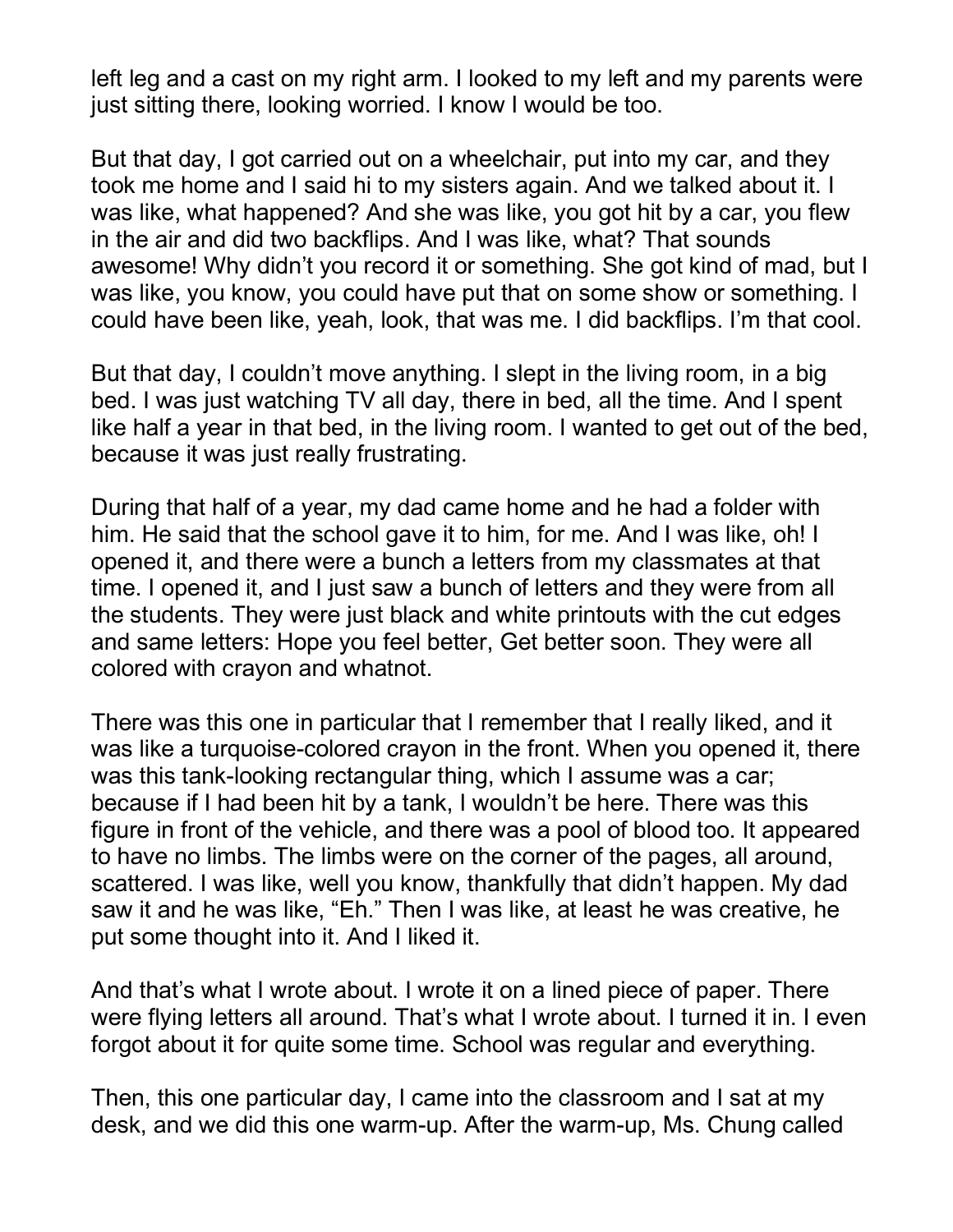left leg and a cast on my right arm. I looked to my left and my parents were just sitting there, looking worried. I know I would be too.

But that day, I got carried out on a wheelchair, put into my car, and they took me home and I said hi to my sisters again. And we talked about it. I was like, what happened? And she was like, you got hit by a car, you flew in the air and did two backflips. And I was like, what? That sounds awesome! Why didn't you record it or something. She got kind of mad, but I was like, you know, you could have put that on some show or something. I could have been like, yeah, look, that was me. I did backflips. I'm that cool.

But that day, I couldn't move anything. I slept in the living room, in a big bed. I was just watching TV all day, there in bed, all the time. And I spent like half a year in that bed, in the living room. I wanted to get out of the bed, because it was just really frustrating.

During that half of a year, my dad came home and he had a folder with him. He said that the school gave it to him, for me. And I was like, oh! I opened it, and there were a bunch a letters from my classmates at that time. I opened it, and I just saw a bunch of letters and they were from all the students. They were just black and white printouts with the cut edges and same letters: Hope you feel better, Get better soon. They were all colored with crayon and whatnot.

There was this one in particular that I remember that I really liked, and it was like a turquoise-colored crayon in the front. When you opened it, there was this tank-looking rectangular thing, which I assume was a car; because if I had been hit by a tank, I wouldn't be here. There was this figure in front of the vehicle, and there was a pool of blood too. It appeared to have no limbs. The limbs were on the corner of the pages, all around, scattered. I was like, well you know, thankfully that didn't happen. My dad saw it and he was like, "Eh." Then I was like, at least he was creative, he put some thought into it. And I liked it.

And that's what I wrote about. I wrote it on a lined piece of paper. There were flying letters all around. That's what I wrote about. I turned it in. I even forgot about it for quite some time. School was regular and everything.

Then, this one particular day, I came into the classroom and I sat at my desk, and we did this one warm-up. After the warm-up, Ms. Chung called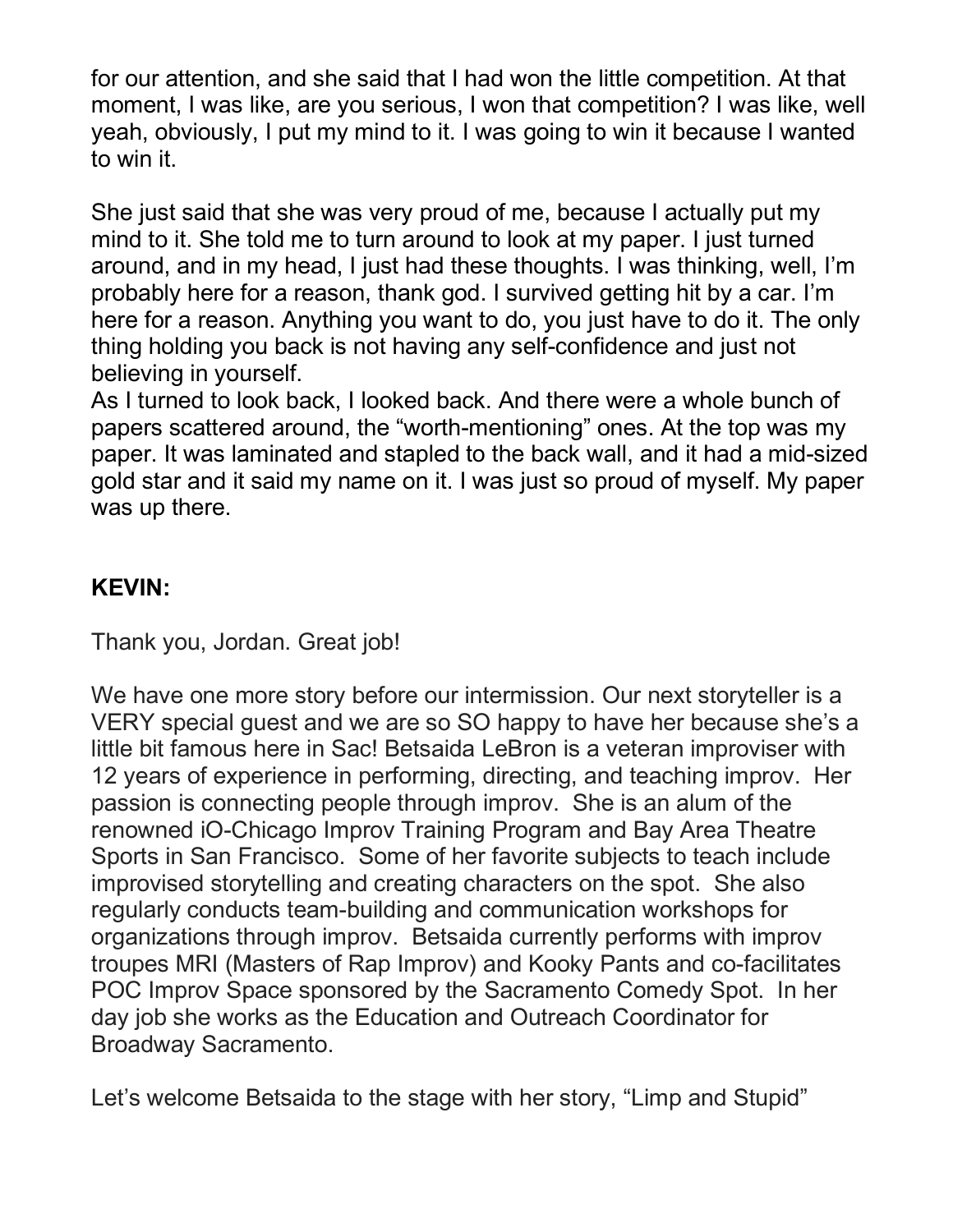for our attention, and she said that I had won the little competition. At that moment, I was like, are you serious, I won that competition? I was like, well yeah, obviously, I put my mind to it. I was going to win it because I wanted to win it.

She just said that she was very proud of me, because I actually put my mind to it. She told me to turn around to look at my paper. I just turned around, and in my head, I just had these thoughts. I was thinking, well, I'm probably here for a reason, thank god. I survived getting hit by a car. I'm here for a reason. Anything you want to do, you just have to do it. The only thing holding you back is not having any self-confidence and just not believing in yourself.

As I turned to look back, I looked back. And there were a whole bunch of papers scattered around, the "worth-mentioning" ones. At the top was my paper. It was laminated and stapled to the back wall, and it had a mid-sized gold star and it said my name on it. I was just so proud of myself. My paper was up there.

### **KEVIN:**

Thank you, Jordan. Great job!

We have one more story before our intermission. Our next storyteller is a VERY special guest and we are so SO happy to have her because she's a little bit famous here in Sac! Betsaida LeBron is a veteran improviser with 12 years of experience in performing, directing, and teaching improv. Her passion is connecting people through improv. She is an alum of the renowned iO-Chicago Improv Training Program and Bay Area Theatre Sports in San Francisco. Some of her favorite subjects to teach include improvised storytelling and creating characters on the spot. She also regularly conducts team-building and communication workshops for organizations through improv. Betsaida currently performs with improv troupes MRI (Masters of Rap Improv) and Kooky Pants and co-facilitates POC Improv Space sponsored by the Sacramento Comedy Spot. In her day job she works as the Education and Outreach Coordinator for Broadway Sacramento.

Let's welcome Betsaida to the stage with her story, "Limp and Stupid"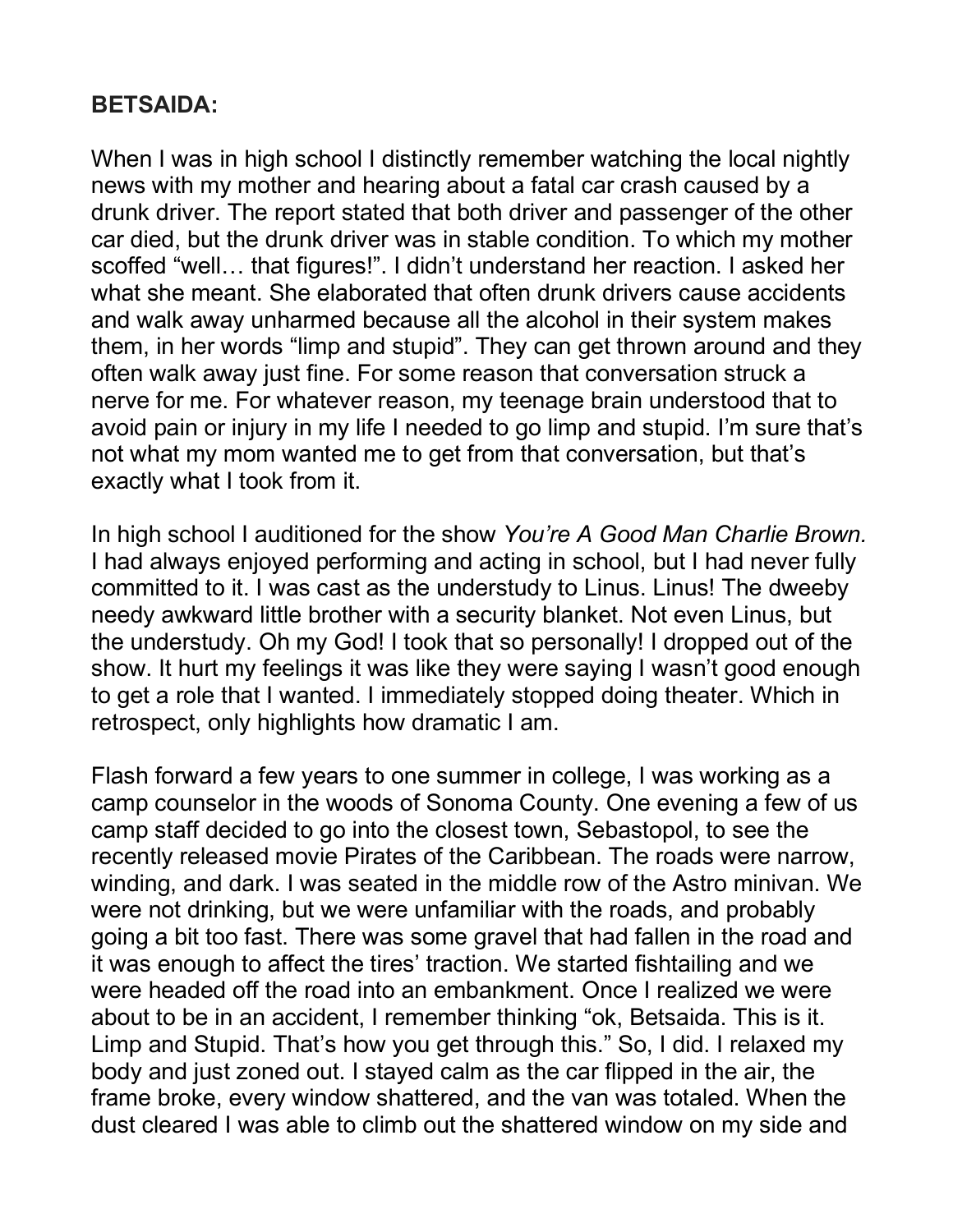## **BETSAIDA:**

When I was in high school I distinctly remember watching the local nightly news with my mother and hearing about a fatal car crash caused by a drunk driver. The report stated that both driver and passenger of the other car died, but the drunk driver was in stable condition. To which my mother scoffed "well… that figures!". I didn't understand her reaction. I asked her what she meant. She elaborated that often drunk drivers cause accidents and walk away unharmed because all the alcohol in their system makes them, in her words "limp and stupid". They can get thrown around and they often walk away just fine. For some reason that conversation struck a nerve for me. For whatever reason, my teenage brain understood that to avoid pain or injury in my life I needed to go limp and stupid. I'm sure that's not what my mom wanted me to get from that conversation, but that's exactly what I took from it.

In high school I auditioned for the show *You're A Good Man Charlie Brown.*  I had always enjoyed performing and acting in school, but I had never fully committed to it. I was cast as the understudy to Linus. Linus! The dweeby needy awkward little brother with a security blanket. Not even Linus, but the understudy. Oh my God! I took that so personally! I dropped out of the show. It hurt my feelings it was like they were saying I wasn't good enough to get a role that I wanted. I immediately stopped doing theater. Which in retrospect, only highlights how dramatic I am.

Flash forward a few years to one summer in college, I was working as a camp counselor in the woods of Sonoma County. One evening a few of us camp staff decided to go into the closest town, Sebastopol, to see the recently released movie Pirates of the Caribbean. The roads were narrow, winding, and dark. I was seated in the middle row of the Astro minivan. We were not drinking, but we were unfamiliar with the roads, and probably going a bit too fast. There was some gravel that had fallen in the road and it was enough to affect the tires' traction. We started fishtailing and we were headed off the road into an embankment. Once I realized we were about to be in an accident, I remember thinking "ok, Betsaida. This is it. Limp and Stupid. That's how you get through this." So, I did. I relaxed my body and just zoned out. I stayed calm as the car flipped in the air, the frame broke, every window shattered, and the van was totaled. When the dust cleared I was able to climb out the shattered window on my side and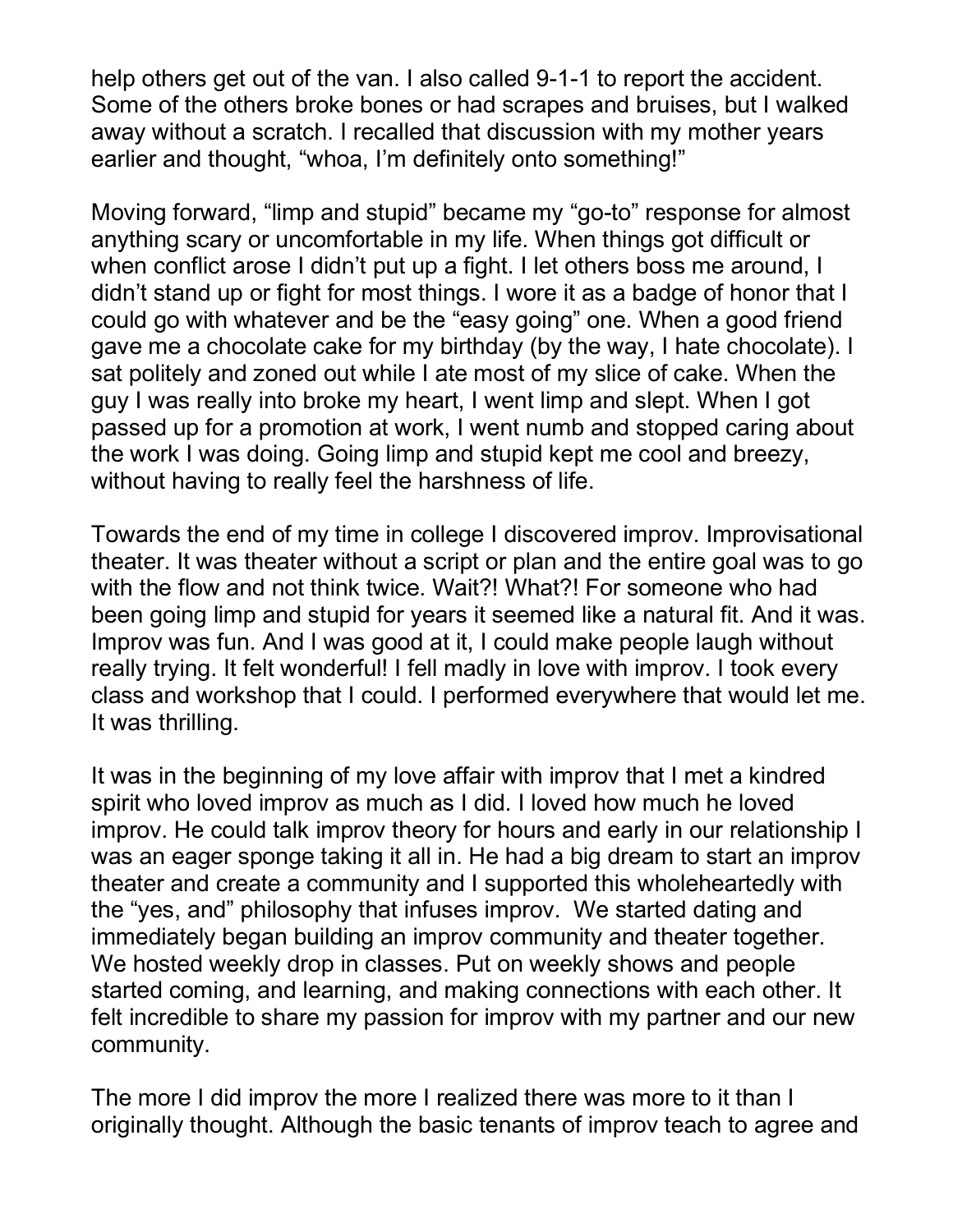help others get out of the van. I also called 9-1-1 to report the accident. Some of the others broke bones or had scrapes and bruises, but I walked away without a scratch. I recalled that discussion with my mother years earlier and thought, "whoa, I'm definitely onto something!"

Moving forward, "limp and stupid" became my "go-to" response for almost anything scary or uncomfortable in my life. When things got difficult or when conflict arose I didn't put up a fight. I let others boss me around, I didn't stand up or fight for most things. I wore it as a badge of honor that I could go with whatever and be the "easy going" one. When a good friend gave me a chocolate cake for my birthday (by the way, I hate chocolate). I sat politely and zoned out while I ate most of my slice of cake. When the guy I was really into broke my heart, I went limp and slept. When I got passed up for a promotion at work, I went numb and stopped caring about the work I was doing. Going limp and stupid kept me cool and breezy, without having to really feel the harshness of life.

Towards the end of my time in college I discovered improv. Improvisational theater. It was theater without a script or plan and the entire goal was to go with the flow and not think twice. Wait?! What?! For someone who had been going limp and stupid for years it seemed like a natural fit. And it was. Improv was fun. And I was good at it, I could make people laugh without really trying. It felt wonderful! I fell madly in love with improv. I took every class and workshop that I could. I performed everywhere that would let me. It was thrilling.

It was in the beginning of my love affair with improv that I met a kindred spirit who loved improv as much as I did. I loved how much he loved improv. He could talk improv theory for hours and early in our relationship I was an eager sponge taking it all in. He had a big dream to start an improv theater and create a community and I supported this wholeheartedly with the "yes, and" philosophy that infuses improv. We started dating and immediately began building an improv community and theater together. We hosted weekly drop in classes. Put on weekly shows and people started coming, and learning, and making connections with each other. It felt incredible to share my passion for improv with my partner and our new community.

The more I did improv the more I realized there was more to it than I originally thought. Although the basic tenants of improv teach to agree and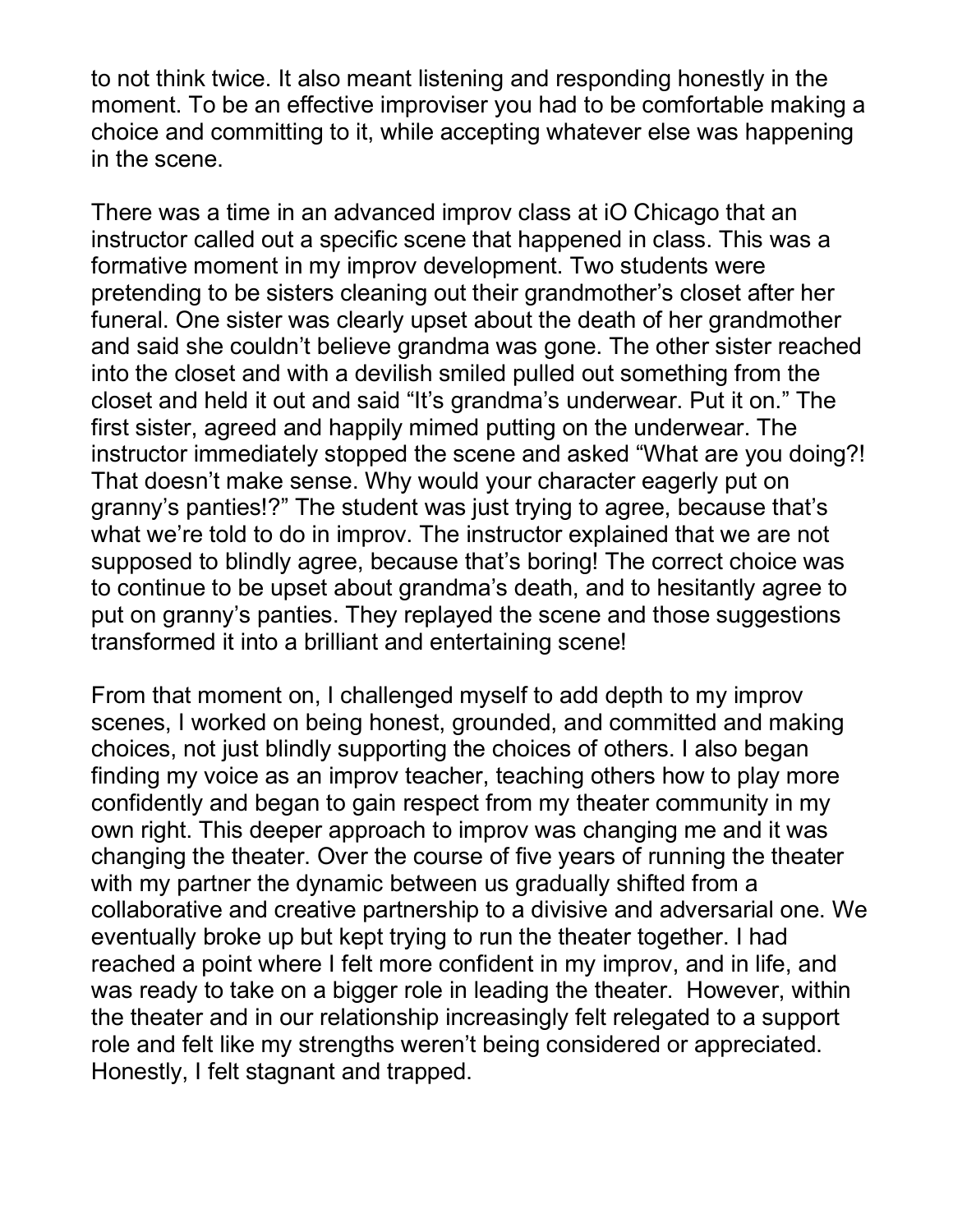to not think twice. It also meant listening and responding honestly in the moment. To be an effective improviser you had to be comfortable making a choice and committing to it, while accepting whatever else was happening in the scene.

There was a time in an advanced improv class at iO Chicago that an instructor called out a specific scene that happened in class. This was a formative moment in my improv development. Two students were pretending to be sisters cleaning out their grandmother's closet after her funeral. One sister was clearly upset about the death of her grandmother and said she couldn't believe grandma was gone. The other sister reached into the closet and with a devilish smiled pulled out something from the closet and held it out and said "It's grandma's underwear. Put it on." The first sister, agreed and happily mimed putting on the underwear. The instructor immediately stopped the scene and asked "What are you doing?! That doesn't make sense. Why would your character eagerly put on granny's panties!?" The student was just trying to agree, because that's what we're told to do in improv. The instructor explained that we are not supposed to blindly agree, because that's boring! The correct choice was to continue to be upset about grandma's death, and to hesitantly agree to put on granny's panties. They replayed the scene and those suggestions transformed it into a brilliant and entertaining scene!

From that moment on, I challenged myself to add depth to my improv scenes, I worked on being honest, grounded, and committed and making choices, not just blindly supporting the choices of others. I also began finding my voice as an improv teacher, teaching others how to play more confidently and began to gain respect from my theater community in my own right. This deeper approach to improv was changing me and it was changing the theater. Over the course of five years of running the theater with my partner the dynamic between us gradually shifted from a collaborative and creative partnership to a divisive and adversarial one. We eventually broke up but kept trying to run the theater together. I had reached a point where I felt more confident in my improv, and in life, and was ready to take on a bigger role in leading the theater. However, within the theater and in our relationship increasingly felt relegated to a support role and felt like my strengths weren't being considered or appreciated. Honestly, I felt stagnant and trapped.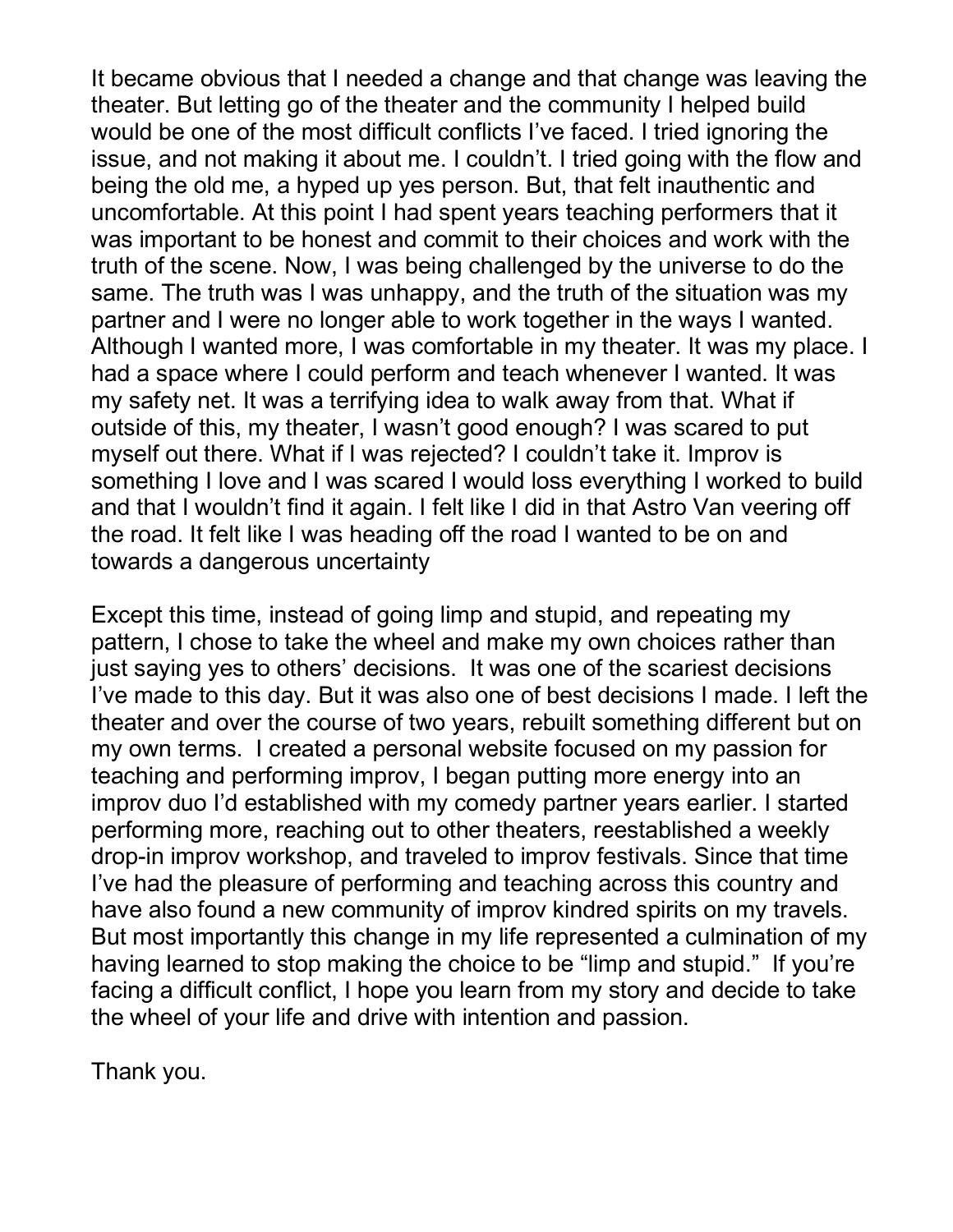It became obvious that I needed a change and that change was leaving the theater. But letting go of the theater and the community I helped build would be one of the most difficult conflicts I've faced. I tried ignoring the issue, and not making it about me. I couldn't. I tried going with the flow and being the old me, a hyped up yes person. But, that felt inauthentic and uncomfortable. At this point I had spent years teaching performers that it was important to be honest and commit to their choices and work with the truth of the scene. Now, I was being challenged by the universe to do the same. The truth was I was unhappy, and the truth of the situation was my partner and I were no longer able to work together in the ways I wanted. Although I wanted more, I was comfortable in my theater. It was my place. I had a space where I could perform and teach whenever I wanted. It was my safety net. It was a terrifying idea to walk away from that. What if outside of this, my theater, I wasn't good enough? I was scared to put myself out there. What if I was rejected? I couldn't take it. Improv is something I love and I was scared I would loss everything I worked to build and that I wouldn't find it again. I felt like I did in that Astro Van veering off the road. It felt like I was heading off the road I wanted to be on and towards a dangerous uncertainty

Except this time, instead of going limp and stupid, and repeating my pattern, I chose to take the wheel and make my own choices rather than just saying yes to others' decisions. It was one of the scariest decisions I've made to this day. But it was also one of best decisions I made. I left the theater and over the course of two years, rebuilt something different but on my own terms. I created a personal website focused on my passion for teaching and performing improv, I began putting more energy into an improv duo I'd established with my comedy partner years earlier. I started performing more, reaching out to other theaters, reestablished a weekly drop-in improv workshop, and traveled to improv festivals. Since that time I've had the pleasure of performing and teaching across this country and have also found a new community of improv kindred spirits on my travels. But most importantly this change in my life represented a culmination of my having learned to stop making the choice to be "limp and stupid." If you're facing a difficult conflict, I hope you learn from my story and decide to take the wheel of your life and drive with intention and passion.

Thank you.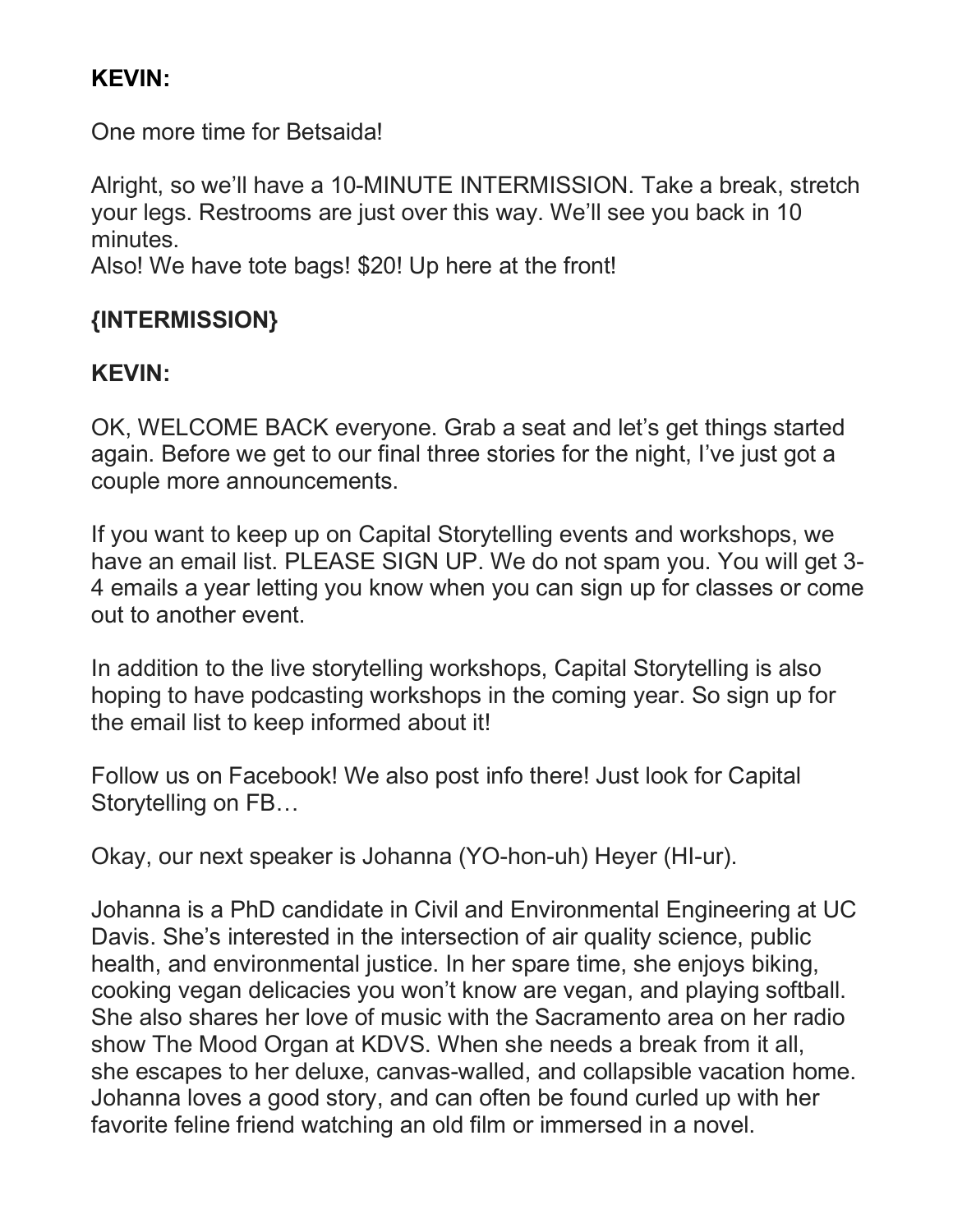# **KEVIN:**

One more time for Betsaida!

Alright, so we'll have a 10-MINUTE INTERMISSION. Take a break, stretch your legs. Restrooms are just over this way. We'll see you back in 10 minutes.

Also! We have tote bags! \$20! Up here at the front!

# **{INTERMISSION}**

# **KEVIN:**

OK, WELCOME BACK everyone. Grab a seat and let's get things started again. Before we get to our final three stories for the night, I've just got a couple more announcements.

If you want to keep up on Capital Storytelling events and workshops, we have an email list. PLEASE SIGN UP. We do not spam you. You will get 3- 4 emails a year letting you know when you can sign up for classes or come out to another event.

In addition to the live storytelling workshops, Capital Storytelling is also hoping to have podcasting workshops in the coming year. So sign up for the email list to keep informed about it!

Follow us on Facebook! We also post info there! Just look for Capital Storytelling on FB…

Okay, our next speaker is Johanna (YO-hon-uh) Heyer (HI-ur).

Johanna is a PhD candidate in Civil and Environmental Engineering at UC Davis. She's interested in the intersection of air quality science, public health, and environmental justice. In her spare time, she enjoys biking, cooking vegan delicacies you won't know are vegan, and playing softball. She also shares her love of music with the Sacramento area on her radio show The Mood Organ at KDVS. When she needs a break from it all, she escapes to her deluxe, canvas-walled, and collapsible vacation home. Johanna loves a good story, and can often be found curled up with her favorite feline friend watching an old film or immersed in a novel.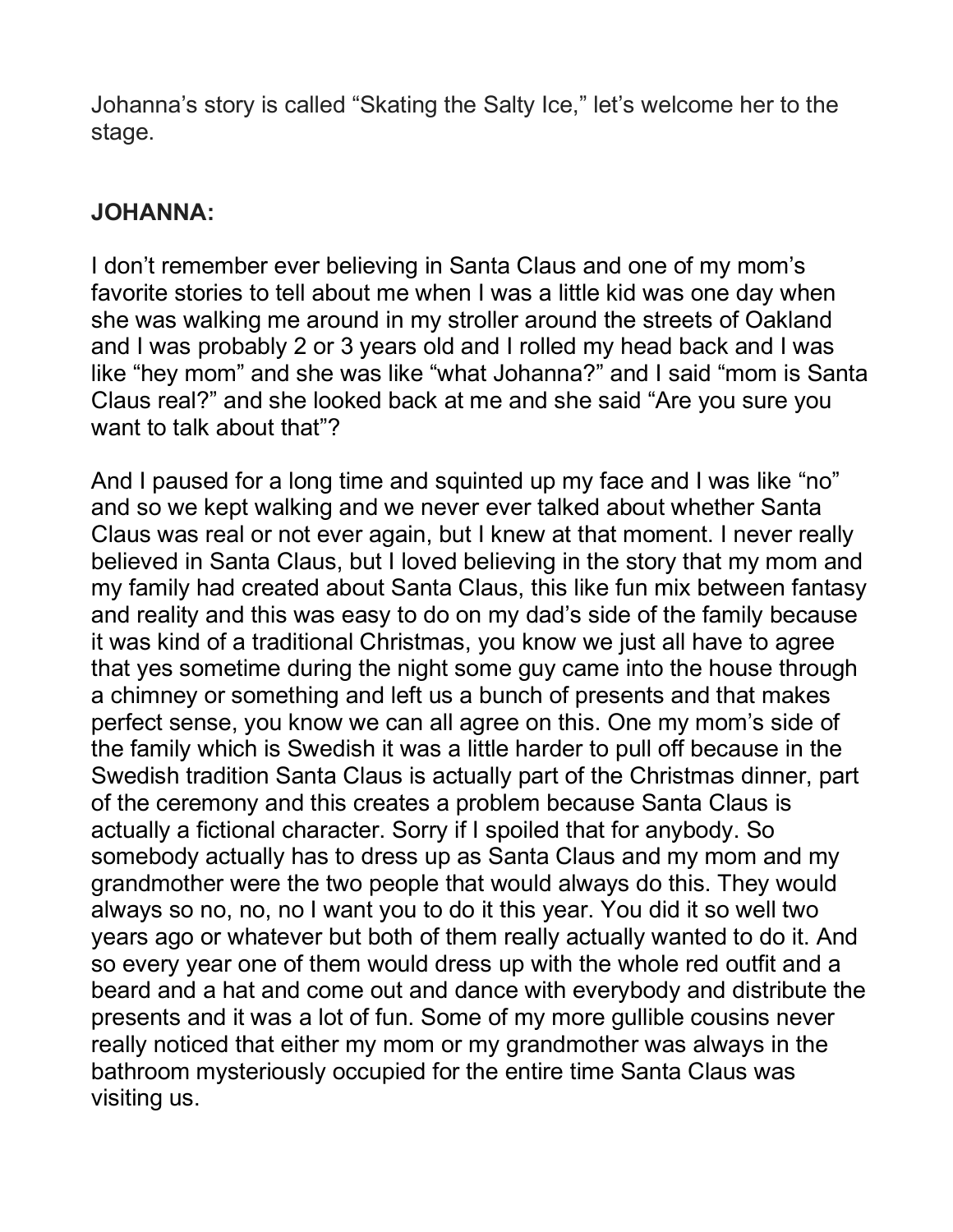Johanna's story is called "Skating the Salty Ice," let's welcome her to the stage.

## **JOHANNA:**

I don't remember ever believing in Santa Claus and one of my mom's favorite stories to tell about me when I was a little kid was one day when she was walking me around in my stroller around the streets of Oakland and I was probably 2 or 3 years old and I rolled my head back and I was like "hey mom" and she was like "what Johanna?" and I said "mom is Santa Claus real?" and she looked back at me and she said "Are you sure you want to talk about that"?

And I paused for a long time and squinted up my face and I was like "no" and so we kept walking and we never ever talked about whether Santa Claus was real or not ever again, but I knew at that moment. I never really believed in Santa Claus, but I loved believing in the story that my mom and my family had created about Santa Claus, this like fun mix between fantasy and reality and this was easy to do on my dad's side of the family because it was kind of a traditional Christmas, you know we just all have to agree that yes sometime during the night some guy came into the house through a chimney or something and left us a bunch of presents and that makes perfect sense, you know we can all agree on this. One my mom's side of the family which is Swedish it was a little harder to pull off because in the Swedish tradition Santa Claus is actually part of the Christmas dinner, part of the ceremony and this creates a problem because Santa Claus is actually a fictional character. Sorry if I spoiled that for anybody. So somebody actually has to dress up as Santa Claus and my mom and my grandmother were the two people that would always do this. They would always so no, no, no I want you to do it this year. You did it so well two years ago or whatever but both of them really actually wanted to do it. And so every year one of them would dress up with the whole red outfit and a beard and a hat and come out and dance with everybody and distribute the presents and it was a lot of fun. Some of my more gullible cousins never really noticed that either my mom or my grandmother was always in the bathroom mysteriously occupied for the entire time Santa Claus was visiting us.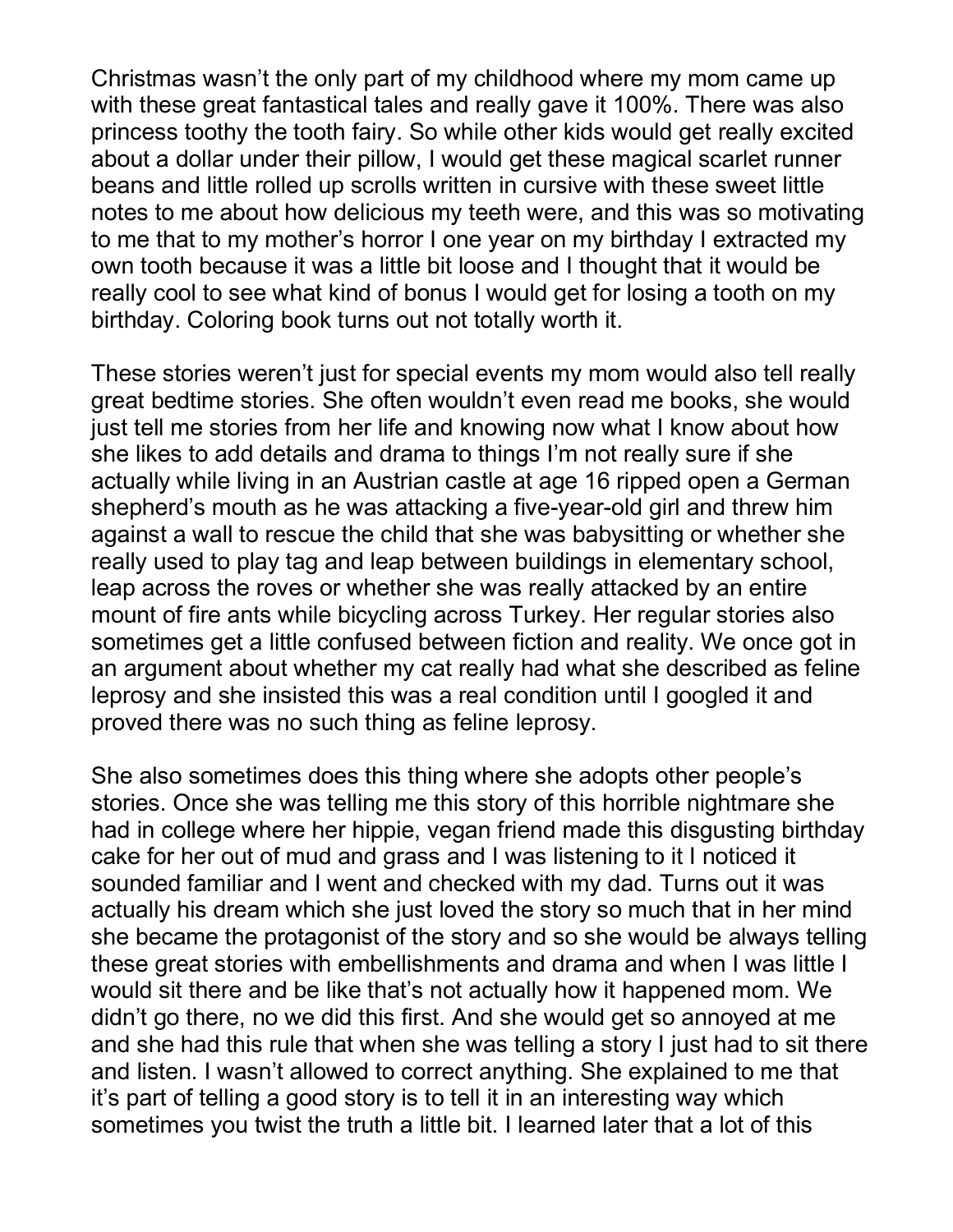Christmas wasn't the only part of my childhood where my mom came up with these great fantastical tales and really gave it 100%. There was also princess toothy the tooth fairy. So while other kids would get really excited about a dollar under their pillow, I would get these magical scarlet runner beans and little rolled up scrolls written in cursive with these sweet little notes to me about how delicious my teeth were, and this was so motivating to me that to my mother's horror I one year on my birthday I extracted my own tooth because it was a little bit loose and I thought that it would be really cool to see what kind of bonus I would get for losing a tooth on my birthday. Coloring book turns out not totally worth it.

These stories weren't just for special events my mom would also tell really great bedtime stories. She often wouldn't even read me books, she would just tell me stories from her life and knowing now what I know about how she likes to add details and drama to things I'm not really sure if she actually while living in an Austrian castle at age 16 ripped open a German shepherd's mouth as he was attacking a five-year-old girl and threw him against a wall to rescue the child that she was babysitting or whether she really used to play tag and leap between buildings in elementary school, leap across the roves or whether she was really attacked by an entire mount of fire ants while bicycling across Turkey. Her regular stories also sometimes get a little confused between fiction and reality. We once got in an argument about whether my cat really had what she described as feline leprosy and she insisted this was a real condition until I googled it and proved there was no such thing as feline leprosy.

She also sometimes does this thing where she adopts other people's stories. Once she was telling me this story of this horrible nightmare she had in college where her hippie, vegan friend made this disgusting birthday cake for her out of mud and grass and I was listening to it I noticed it sounded familiar and I went and checked with my dad. Turns out it was actually his dream which she just loved the story so much that in her mind she became the protagonist of the story and so she would be always telling these great stories with embellishments and drama and when I was little I would sit there and be like that's not actually how it happened mom. We didn't go there, no we did this first. And she would get so annoyed at me and she had this rule that when she was telling a story I just had to sit there and listen. I wasn't allowed to correct anything. She explained to me that it's part of telling a good story is to tell it in an interesting way which sometimes you twist the truth a little bit. I learned later that a lot of this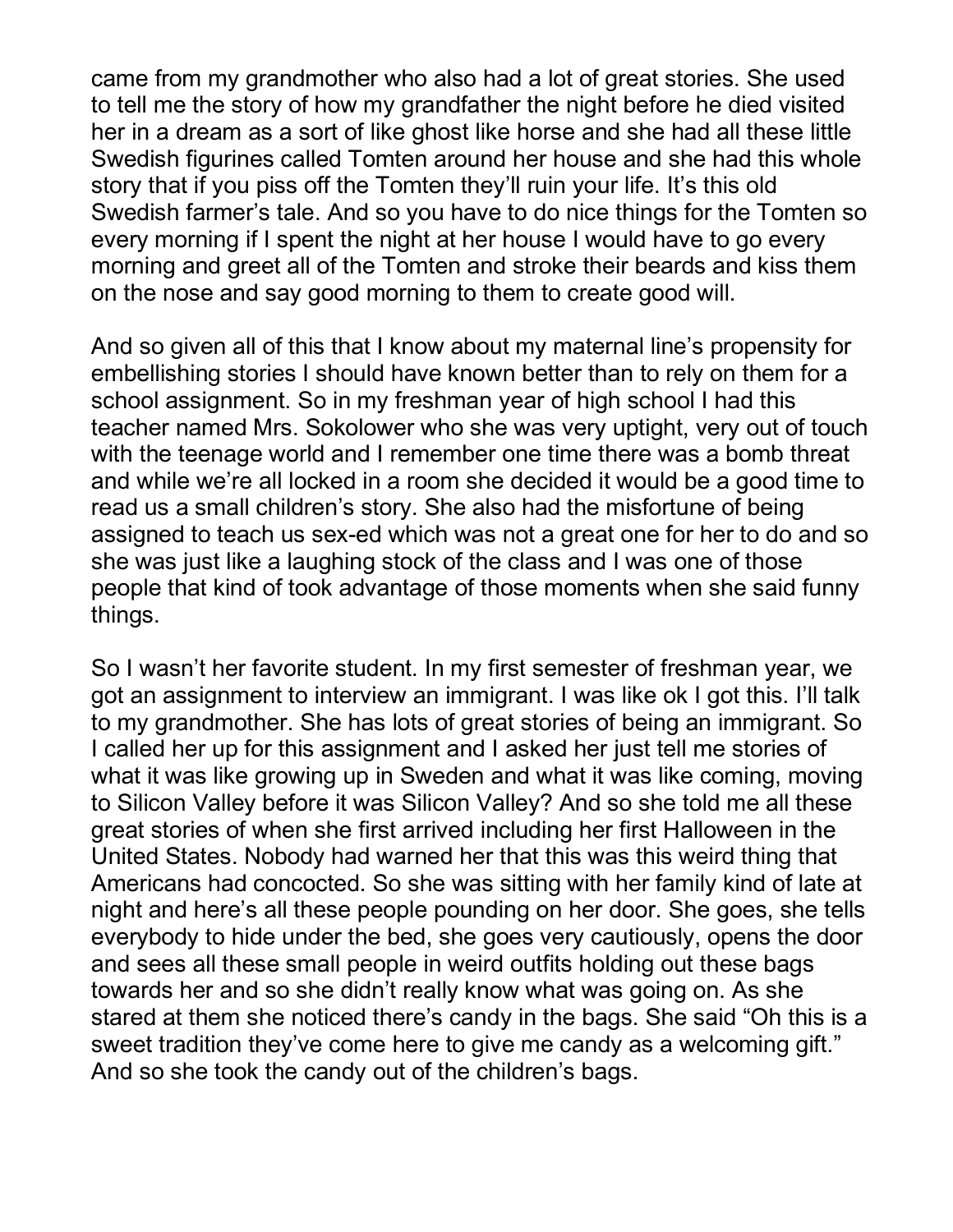came from my grandmother who also had a lot of great stories. She used to tell me the story of how my grandfather the night before he died visited her in a dream as a sort of like ghost like horse and she had all these little Swedish figurines called Tomten around her house and she had this whole story that if you piss off the Tomten they'll ruin your life. It's this old Swedish farmer's tale. And so you have to do nice things for the Tomten so every morning if I spent the night at her house I would have to go every morning and greet all of the Tomten and stroke their beards and kiss them on the nose and say good morning to them to create good will.

And so given all of this that I know about my maternal line's propensity for embellishing stories I should have known better than to rely on them for a school assignment. So in my freshman year of high school I had this teacher named Mrs. Sokolower who she was very uptight, very out of touch with the teenage world and I remember one time there was a bomb threat and while we're all locked in a room she decided it would be a good time to read us a small children's story. She also had the misfortune of being assigned to teach us sex-ed which was not a great one for her to do and so she was just like a laughing stock of the class and I was one of those people that kind of took advantage of those moments when she said funny things.

So I wasn't her favorite student. In my first semester of freshman year, we got an assignment to interview an immigrant. I was like ok I got this. I'll talk to my grandmother. She has lots of great stories of being an immigrant. So I called her up for this assignment and I asked her just tell me stories of what it was like growing up in Sweden and what it was like coming, moving to Silicon Valley before it was Silicon Valley? And so she told me all these great stories of when she first arrived including her first Halloween in the United States. Nobody had warned her that this was this weird thing that Americans had concocted. So she was sitting with her family kind of late at night and here's all these people pounding on her door. She goes, she tells everybody to hide under the bed, she goes very cautiously, opens the door and sees all these small people in weird outfits holding out these bags towards her and so she didn't really know what was going on. As she stared at them she noticed there's candy in the bags. She said "Oh this is a sweet tradition they've come here to give me candy as a welcoming gift." And so she took the candy out of the children's bags.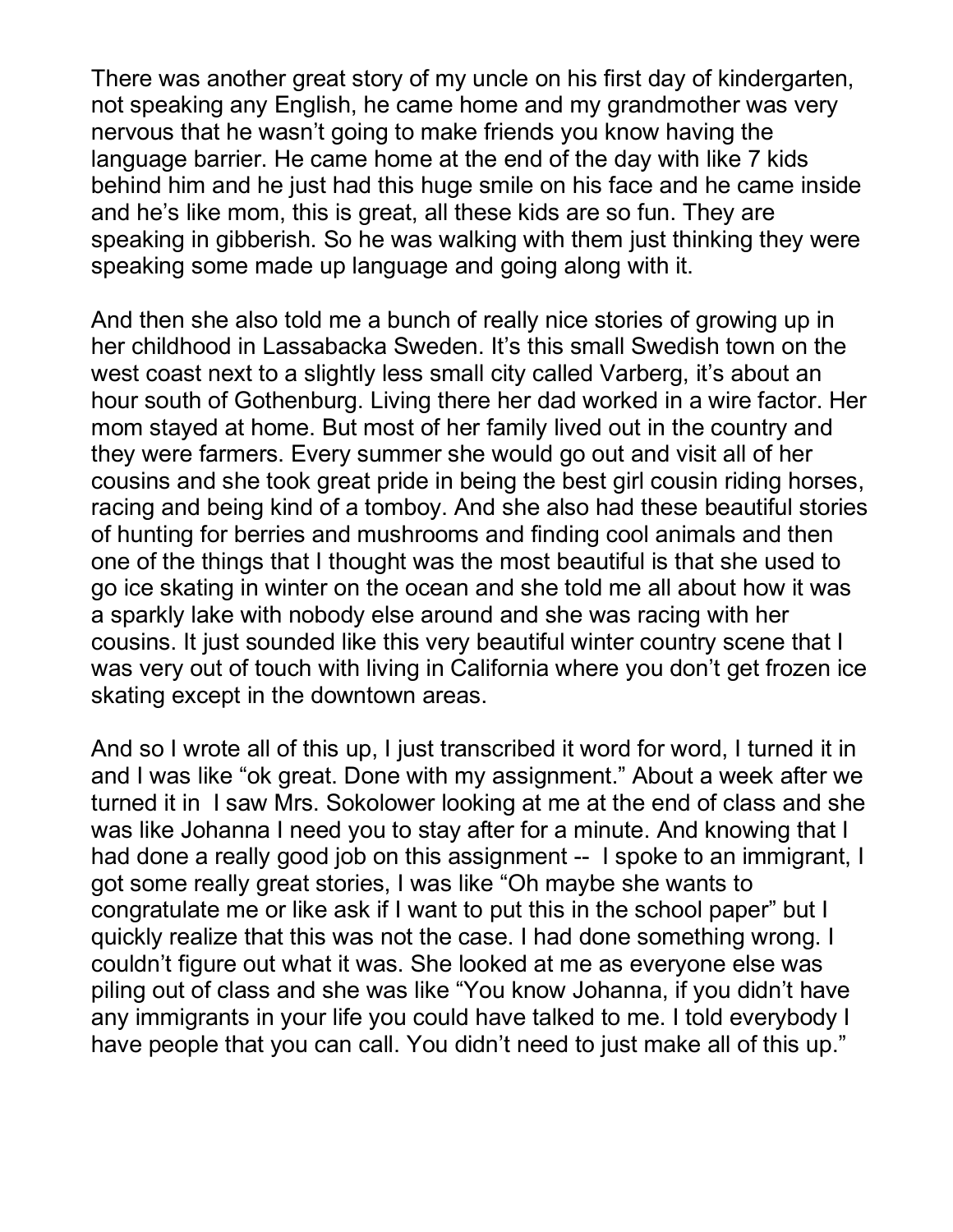There was another great story of my uncle on his first day of kindergarten, not speaking any English, he came home and my grandmother was very nervous that he wasn't going to make friends you know having the language barrier. He came home at the end of the day with like 7 kids behind him and he just had this huge smile on his face and he came inside and he's like mom, this is great, all these kids are so fun. They are speaking in gibberish. So he was walking with them just thinking they were speaking some made up language and going along with it.

And then she also told me a bunch of really nice stories of growing up in her childhood in Lassabacka Sweden. It's this small Swedish town on the west coast next to a slightly less small city called Varberg, it's about an hour south of Gothenburg. Living there her dad worked in a wire factor. Her mom stayed at home. But most of her family lived out in the country and they were farmers. Every summer she would go out and visit all of her cousins and she took great pride in being the best girl cousin riding horses, racing and being kind of a tomboy. And she also had these beautiful stories of hunting for berries and mushrooms and finding cool animals and then one of the things that I thought was the most beautiful is that she used to go ice skating in winter on the ocean and she told me all about how it was a sparkly lake with nobody else around and she was racing with her cousins. It just sounded like this very beautiful winter country scene that I was very out of touch with living in California where you don't get frozen ice skating except in the downtown areas.

And so I wrote all of this up, I just transcribed it word for word, I turned it in and I was like "ok great. Done with my assignment." About a week after we turned it in I saw Mrs. Sokolower looking at me at the end of class and she was like Johanna I need you to stay after for a minute. And knowing that I had done a really good job on this assignment -- I spoke to an immigrant, I got some really great stories, I was like "Oh maybe she wants to congratulate me or like ask if I want to put this in the school paper" but I quickly realize that this was not the case. I had done something wrong. I couldn't figure out what it was. She looked at me as everyone else was piling out of class and she was like "You know Johanna, if you didn't have any immigrants in your life you could have talked to me. I told everybody I have people that you can call. You didn't need to just make all of this up."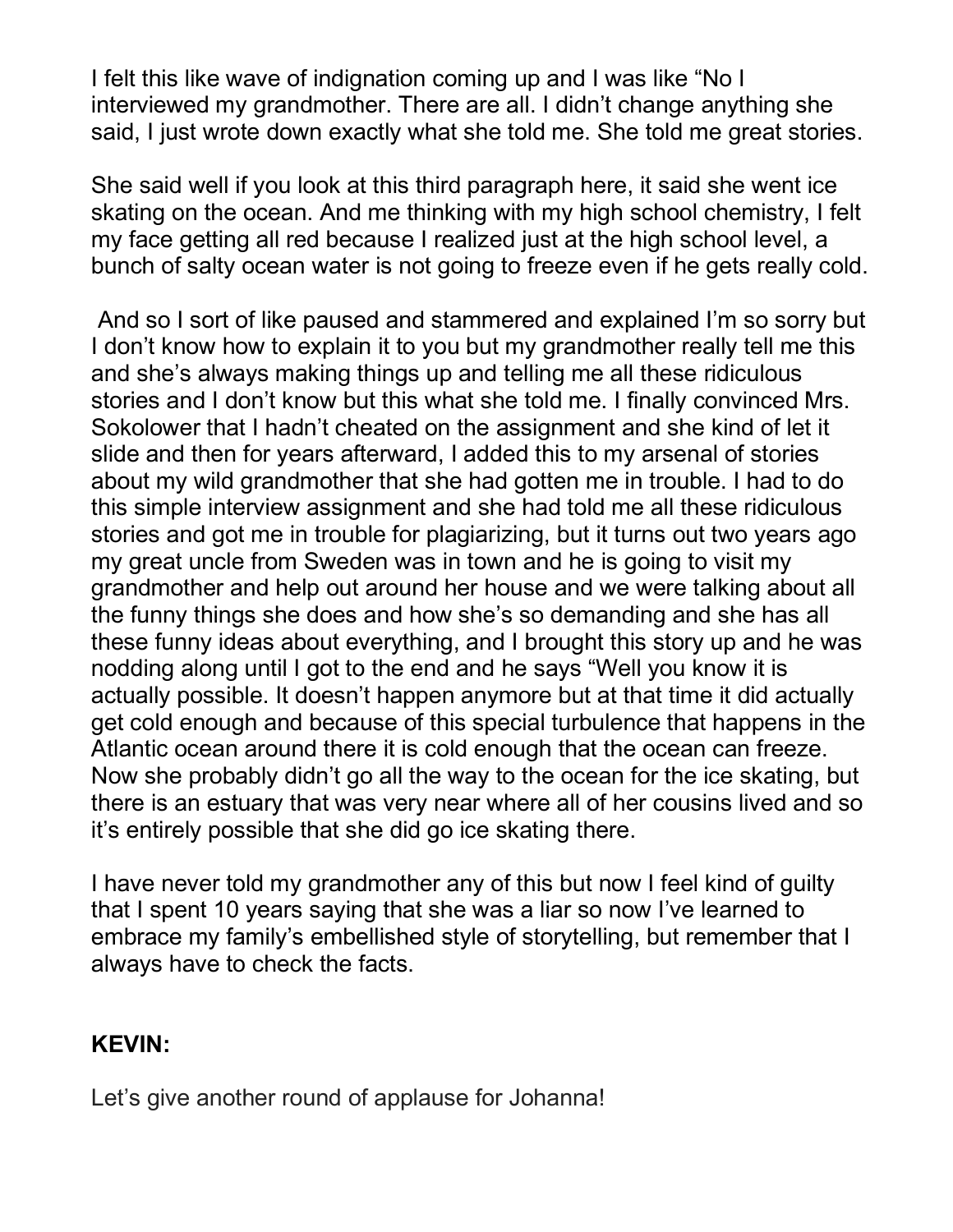I felt this like wave of indignation coming up and I was like "No I interviewed my grandmother. There are all. I didn't change anything she said, I just wrote down exactly what she told me. She told me great stories.

She said well if you look at this third paragraph here, it said she went ice skating on the ocean. And me thinking with my high school chemistry, I felt my face getting all red because I realized just at the high school level, a bunch of salty ocean water is not going to freeze even if he gets really cold.

And so I sort of like paused and stammered and explained I'm so sorry but I don't know how to explain it to you but my grandmother really tell me this and she's always making things up and telling me all these ridiculous stories and I don't know but this what she told me. I finally convinced Mrs. Sokolower that I hadn't cheated on the assignment and she kind of let it slide and then for years afterward, I added this to my arsenal of stories about my wild grandmother that she had gotten me in trouble. I had to do this simple interview assignment and she had told me all these ridiculous stories and got me in trouble for plagiarizing, but it turns out two years ago my great uncle from Sweden was in town and he is going to visit my grandmother and help out around her house and we were talking about all the funny things she does and how she's so demanding and she has all these funny ideas about everything, and I brought this story up and he was nodding along until I got to the end and he says "Well you know it is actually possible. It doesn't happen anymore but at that time it did actually get cold enough and because of this special turbulence that happens in the Atlantic ocean around there it is cold enough that the ocean can freeze. Now she probably didn't go all the way to the ocean for the ice skating, but there is an estuary that was very near where all of her cousins lived and so it's entirely possible that she did go ice skating there.

I have never told my grandmother any of this but now I feel kind of guilty that I spent 10 years saying that she was a liar so now I've learned to embrace my family's embellished style of storytelling, but remember that I always have to check the facts.

#### **KEVIN:**

Let's give another round of applause for Johanna!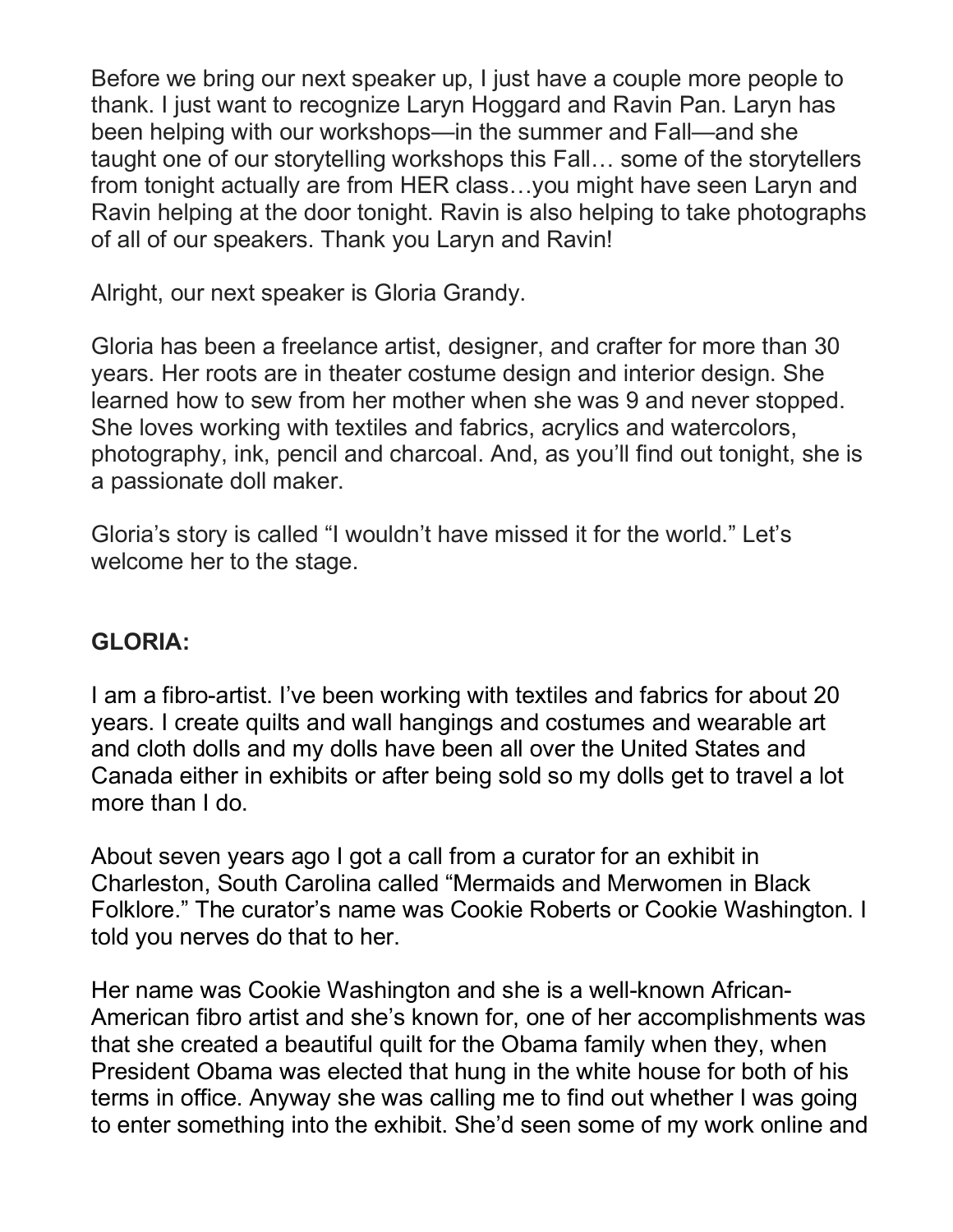Before we bring our next speaker up, I just have a couple more people to thank. I just want to recognize Laryn Hoggard and Ravin Pan. Laryn has been helping with our workshops—in the summer and Fall—and she taught one of our storytelling workshops this Fall… some of the storytellers from tonight actually are from HER class…you might have seen Laryn and Ravin helping at the door tonight. Ravin is also helping to take photographs of all of our speakers. Thank you Laryn and Ravin!

Alright, our next speaker is Gloria Grandy.

Gloria has been a freelance artist, designer, and crafter for more than 30 years. Her roots are in theater costume design and interior design. She learned how to sew from her mother when she was 9 and never stopped. She loves working with textiles and fabrics, acrylics and watercolors, photography, ink, pencil and charcoal. And, as you'll find out tonight, she is a passionate doll maker.

Gloria's story is called "I wouldn't have missed it for the world." Let's welcome her to the stage.

# **GLORIA:**

I am a fibro-artist. I've been working with textiles and fabrics for about 20 years. I create quilts and wall hangings and costumes and wearable art and cloth dolls and my dolls have been all over the United States and Canada either in exhibits or after being sold so my dolls get to travel a lot more than I do.

About seven years ago I got a call from a curator for an exhibit in Charleston, South Carolina called "Mermaids and Merwomen in Black Folklore." The curator's name was Cookie Roberts or Cookie Washington. I told you nerves do that to her.

Her name was Cookie Washington and she is a well-known African-American fibro artist and she's known for, one of her accomplishments was that she created a beautiful quilt for the Obama family when they, when President Obama was elected that hung in the white house for both of his terms in office. Anyway she was calling me to find out whether I was going to enter something into the exhibit. She'd seen some of my work online and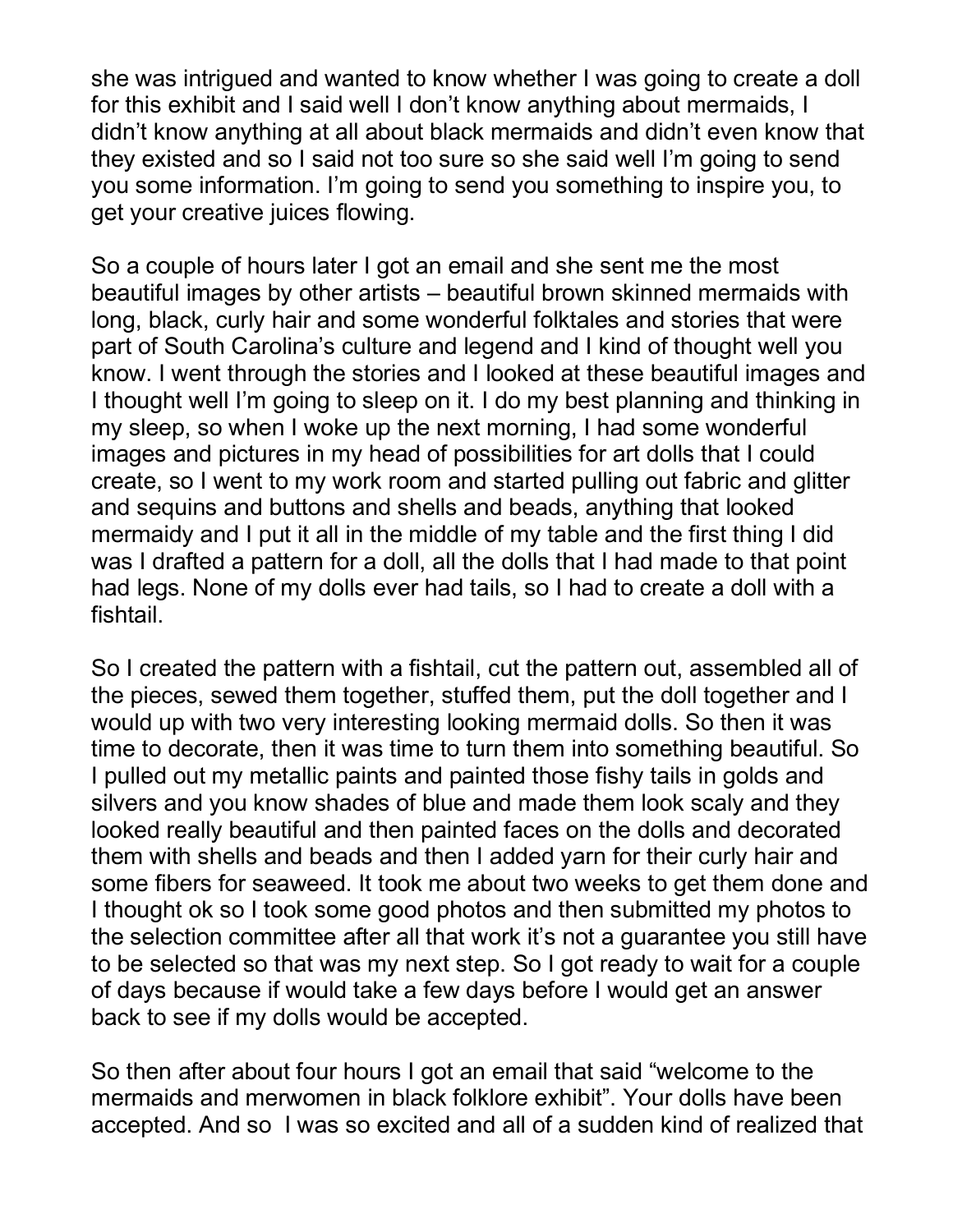she was intrigued and wanted to know whether I was going to create a doll for this exhibit and I said well I don't know anything about mermaids, I didn't know anything at all about black mermaids and didn't even know that they existed and so I said not too sure so she said well I'm going to send you some information. I'm going to send you something to inspire you, to get your creative juices flowing.

So a couple of hours later I got an email and she sent me the most beautiful images by other artists – beautiful brown skinned mermaids with long, black, curly hair and some wonderful folktales and stories that were part of South Carolina's culture and legend and I kind of thought well you know. I went through the stories and I looked at these beautiful images and I thought well I'm going to sleep on it. I do my best planning and thinking in my sleep, so when I woke up the next morning, I had some wonderful images and pictures in my head of possibilities for art dolls that I could create, so I went to my work room and started pulling out fabric and glitter and sequins and buttons and shells and beads, anything that looked mermaidy and I put it all in the middle of my table and the first thing I did was I drafted a pattern for a doll, all the dolls that I had made to that point had legs. None of my dolls ever had tails, so I had to create a doll with a fishtail.

So I created the pattern with a fishtail, cut the pattern out, assembled all of the pieces, sewed them together, stuffed them, put the doll together and I would up with two very interesting looking mermaid dolls. So then it was time to decorate, then it was time to turn them into something beautiful. So I pulled out my metallic paints and painted those fishy tails in golds and silvers and you know shades of blue and made them look scaly and they looked really beautiful and then painted faces on the dolls and decorated them with shells and beads and then I added yarn for their curly hair and some fibers for seaweed. It took me about two weeks to get them done and I thought ok so I took some good photos and then submitted my photos to the selection committee after all that work it's not a guarantee you still have to be selected so that was my next step. So I got ready to wait for a couple of days because if would take a few days before I would get an answer back to see if my dolls would be accepted.

So then after about four hours I got an email that said "welcome to the mermaids and merwomen in black folklore exhibit". Your dolls have been accepted. And so I was so excited and all of a sudden kind of realized that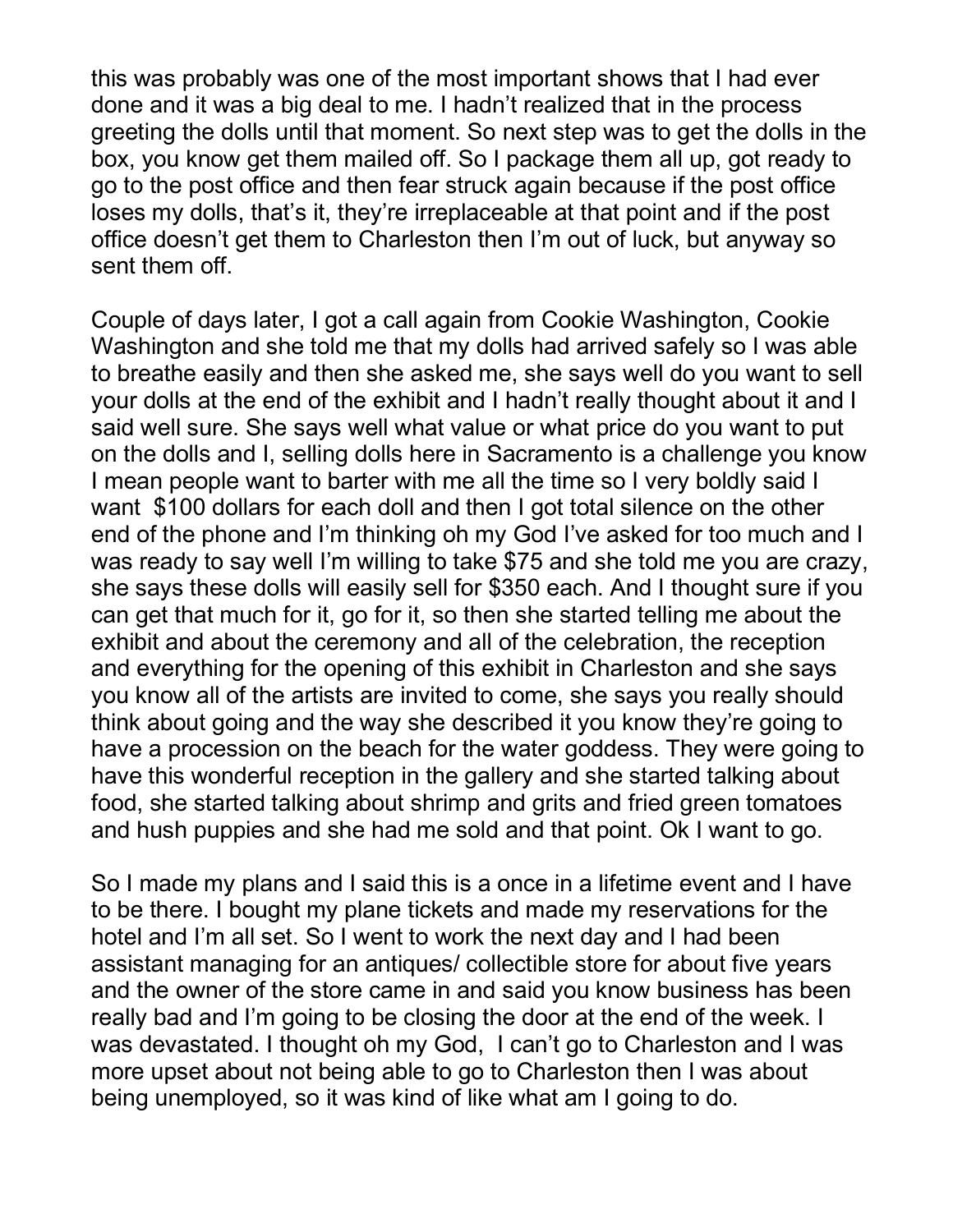this was probably was one of the most important shows that I had ever done and it was a big deal to me. I hadn't realized that in the process greeting the dolls until that moment. So next step was to get the dolls in the box, you know get them mailed off. So I package them all up, got ready to go to the post office and then fear struck again because if the post office loses my dolls, that's it, they're irreplaceable at that point and if the post office doesn't get them to Charleston then I'm out of luck, but anyway so sent them off.

Couple of days later, I got a call again from Cookie Washington, Cookie Washington and she told me that my dolls had arrived safely so I was able to breathe easily and then she asked me, she says well do you want to sell your dolls at the end of the exhibit and I hadn't really thought about it and I said well sure. She says well what value or what price do you want to put on the dolls and I, selling dolls here in Sacramento is a challenge you know I mean people want to barter with me all the time so I very boldly said I want \$100 dollars for each doll and then I got total silence on the other end of the phone and I'm thinking oh my God I've asked for too much and I was ready to say well I'm willing to take \$75 and she told me you are crazy, she says these dolls will easily sell for \$350 each. And I thought sure if you can get that much for it, go for it, so then she started telling me about the exhibit and about the ceremony and all of the celebration, the reception and everything for the opening of this exhibit in Charleston and she says you know all of the artists are invited to come, she says you really should think about going and the way she described it you know they're going to have a procession on the beach for the water goddess. They were going to have this wonderful reception in the gallery and she started talking about food, she started talking about shrimp and grits and fried green tomatoes and hush puppies and she had me sold and that point. Ok I want to go.

So I made my plans and I said this is a once in a lifetime event and I have to be there. I bought my plane tickets and made my reservations for the hotel and I'm all set. So I went to work the next day and I had been assistant managing for an antiques/ collectible store for about five years and the owner of the store came in and said you know business has been really bad and I'm going to be closing the door at the end of the week. I was devastated. I thought oh my God, I can't go to Charleston and I was more upset about not being able to go to Charleston then I was about being unemployed, so it was kind of like what am I going to do.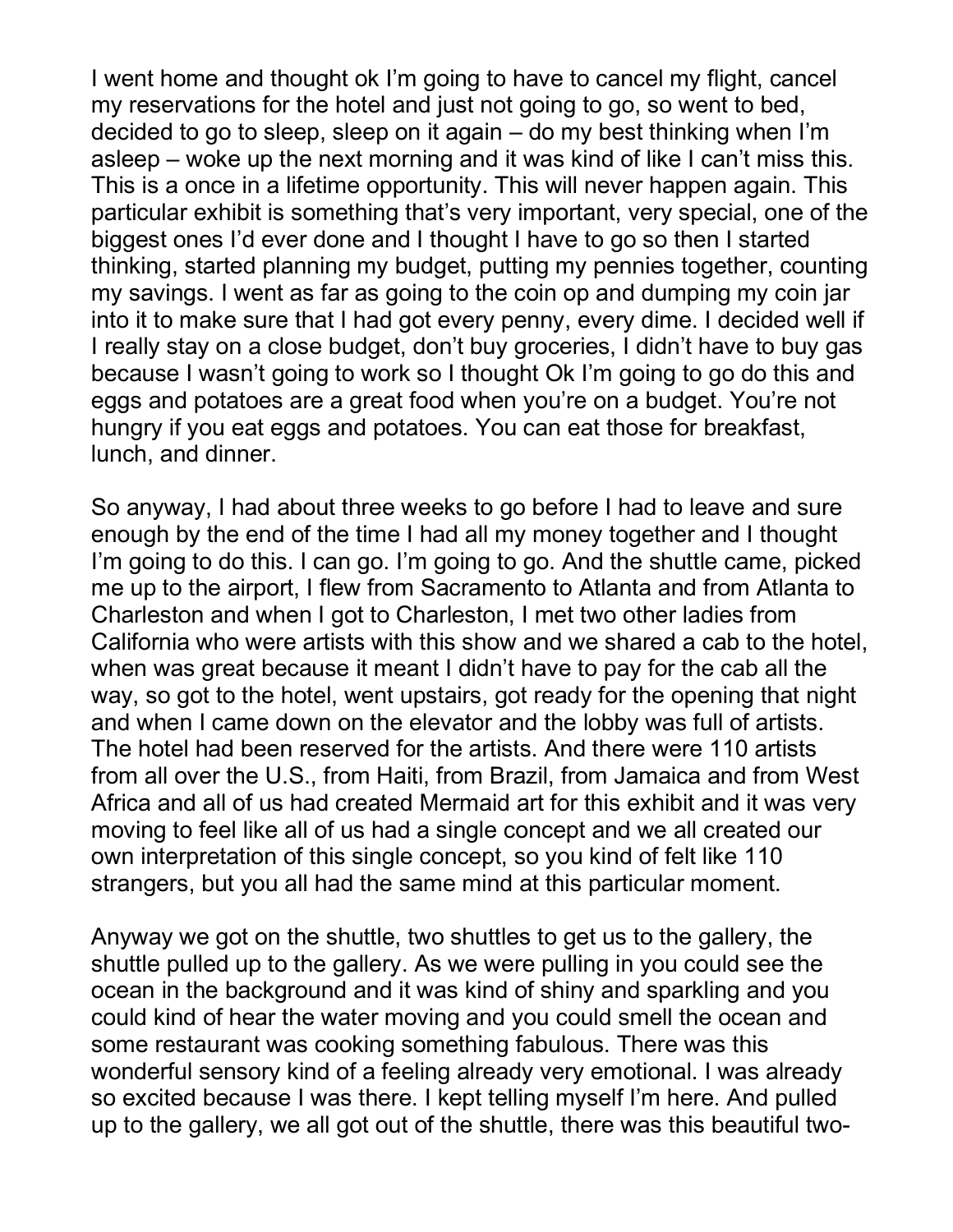I went home and thought ok I'm going to have to cancel my flight, cancel my reservations for the hotel and just not going to go, so went to bed, decided to go to sleep, sleep on it again – do my best thinking when I'm asleep – woke up the next morning and it was kind of like I can't miss this. This is a once in a lifetime opportunity. This will never happen again. This particular exhibit is something that's very important, very special, one of the biggest ones I'd ever done and I thought I have to go so then I started thinking, started planning my budget, putting my pennies together, counting my savings. I went as far as going to the coin op and dumping my coin jar into it to make sure that I had got every penny, every dime. I decided well if I really stay on a close budget, don't buy groceries, I didn't have to buy gas because I wasn't going to work so I thought Ok I'm going to go do this and eggs and potatoes are a great food when you're on a budget. You're not hungry if you eat eggs and potatoes. You can eat those for breakfast, lunch, and dinner.

So anyway, I had about three weeks to go before I had to leave and sure enough by the end of the time I had all my money together and I thought I'm going to do this. I can go. I'm going to go. And the shuttle came, picked me up to the airport, I flew from Sacramento to Atlanta and from Atlanta to Charleston and when I got to Charleston, I met two other ladies from California who were artists with this show and we shared a cab to the hotel, when was great because it meant I didn't have to pay for the cab all the way, so got to the hotel, went upstairs, got ready for the opening that night and when I came down on the elevator and the lobby was full of artists. The hotel had been reserved for the artists. And there were 110 artists from all over the U.S., from Haiti, from Brazil, from Jamaica and from West Africa and all of us had created Mermaid art for this exhibit and it was very moving to feel like all of us had a single concept and we all created our own interpretation of this single concept, so you kind of felt like 110 strangers, but you all had the same mind at this particular moment.

Anyway we got on the shuttle, two shuttles to get us to the gallery, the shuttle pulled up to the gallery. As we were pulling in you could see the ocean in the background and it was kind of shiny and sparkling and you could kind of hear the water moving and you could smell the ocean and some restaurant was cooking something fabulous. There was this wonderful sensory kind of a feeling already very emotional. I was already so excited because I was there. I kept telling myself I'm here. And pulled up to the gallery, we all got out of the shuttle, there was this beautiful two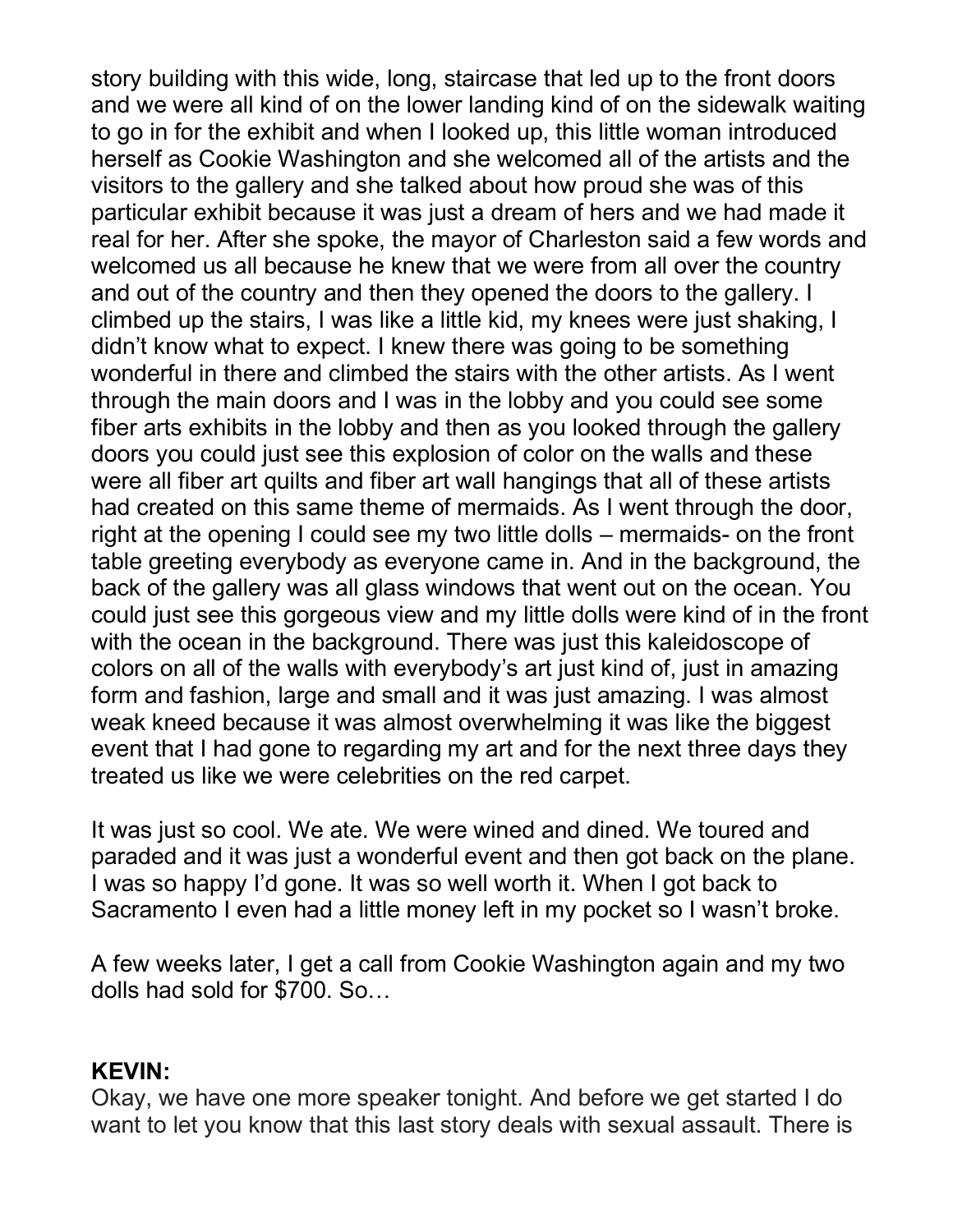story building with this wide, long, staircase that led up to the front doors and we were all kind of on the lower landing kind of on the sidewalk waiting to go in for the exhibit and when I looked up, this little woman introduced herself as Cookie Washington and she welcomed all of the artists and the visitors to the gallery and she talked about how proud she was of this particular exhibit because it was just a dream of hers and we had made it real for her. After she spoke, the mayor of Charleston said a few words and welcomed us all because he knew that we were from all over the country and out of the country and then they opened the doors to the gallery. I climbed up the stairs, I was like a little kid, my knees were just shaking, I didn't know what to expect. I knew there was going to be something wonderful in there and climbed the stairs with the other artists. As I went through the main doors and I was in the lobby and you could see some fiber arts exhibits in the lobby and then as you looked through the gallery doors you could just see this explosion of color on the walls and these were all fiber art quilts and fiber art wall hangings that all of these artists had created on this same theme of mermaids. As I went through the door, right at the opening I could see my two little dolls – mermaids- on the front table greeting everybody as everyone came in. And in the background, the back of the gallery was all glass windows that went out on the ocean. You could just see this gorgeous view and my little dolls were kind of in the front with the ocean in the background. There was just this kaleidoscope of colors on all of the walls with everybody's art just kind of, just in amazing form and fashion, large and small and it was just amazing. I was almost weak kneed because it was almost overwhelming it was like the biggest event that I had gone to regarding my art and for the next three days they treated us like we were celebrities on the red carpet.

It was just so cool. We ate. We were wined and dined. We toured and paraded and it was just a wonderful event and then got back on the plane. I was so happy I'd gone. It was so well worth it. When I got back to Sacramento I even had a little money left in my pocket so I wasn't broke.

A few weeks later, I get a call from Cookie Washington again and my two dolls had sold for \$700. So…

#### **KEVIN:**

Okay, we have one more speaker tonight. And before we get started I do want to let you know that this last story deals with sexual assault. There is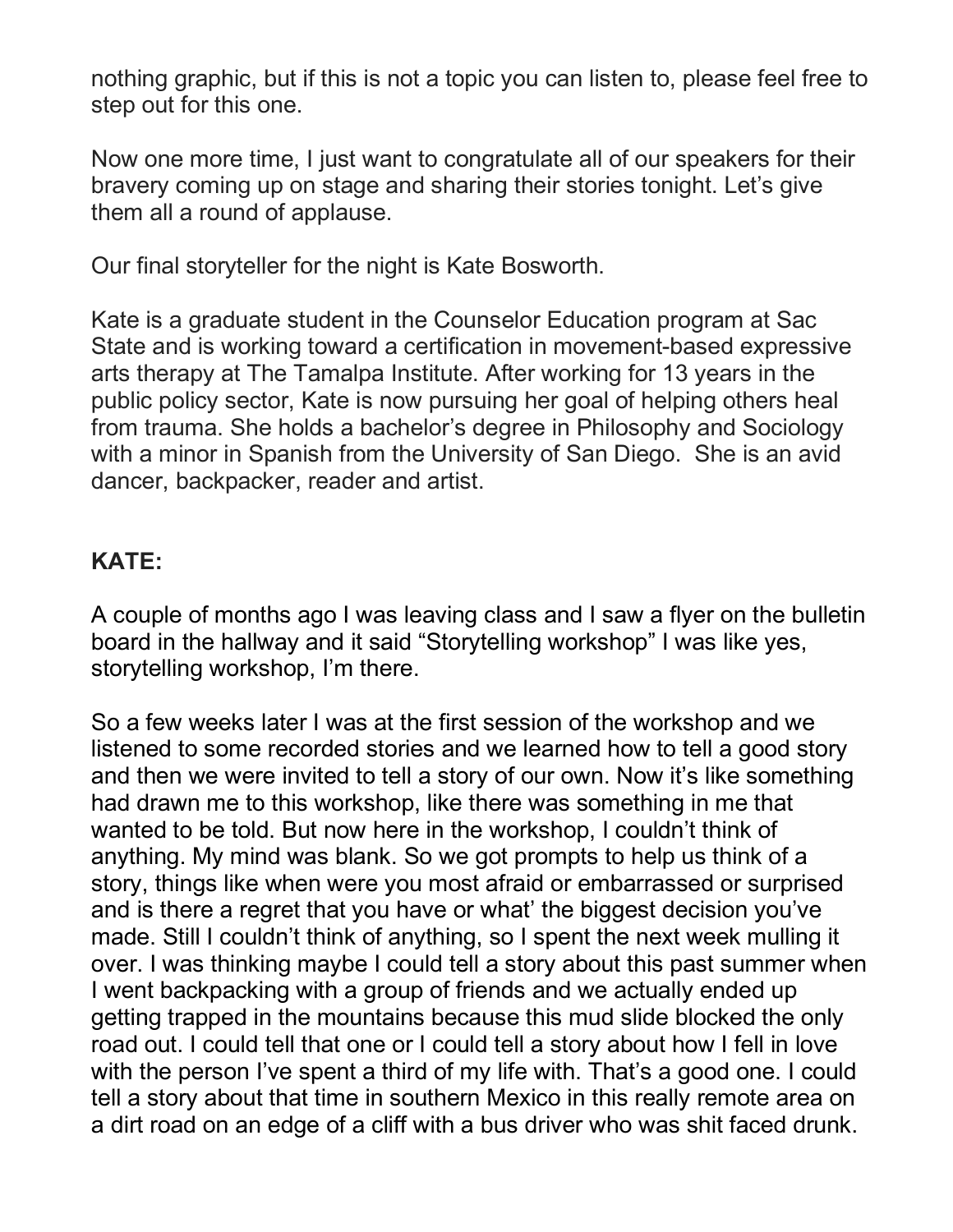nothing graphic, but if this is not a topic you can listen to, please feel free to step out for this one.

Now one more time, I just want to congratulate all of our speakers for their bravery coming up on stage and sharing their stories tonight. Let's give them all a round of applause.

Our final storyteller for the night is Kate Bosworth.

Kate is a graduate student in the Counselor Education program at Sac State and is working toward a certification in movement-based expressive arts therapy at The Tamalpa Institute. After working for 13 years in the public policy sector, Kate is now pursuing her goal of helping others heal from trauma. She holds a bachelor's degree in Philosophy and Sociology with a minor in Spanish from the University of San Diego. She is an avid dancer, backpacker, reader and artist.

#### **KATE:**

A couple of months ago I was leaving class and I saw a flyer on the bulletin board in the hallway and it said "Storytelling workshop" I was like yes, storytelling workshop, I'm there.

So a few weeks later I was at the first session of the workshop and we listened to some recorded stories and we learned how to tell a good story and then we were invited to tell a story of our own. Now it's like something had drawn me to this workshop, like there was something in me that wanted to be told. But now here in the workshop, I couldn't think of anything. My mind was blank. So we got prompts to help us think of a story, things like when were you most afraid or embarrassed or surprised and is there a regret that you have or what' the biggest decision you've made. Still I couldn't think of anything, so I spent the next week mulling it over. I was thinking maybe I could tell a story about this past summer when I went backpacking with a group of friends and we actually ended up getting trapped in the mountains because this mud slide blocked the only road out. I could tell that one or I could tell a story about how I fell in love with the person I've spent a third of my life with. That's a good one. I could tell a story about that time in southern Mexico in this really remote area on a dirt road on an edge of a cliff with a bus driver who was shit faced drunk.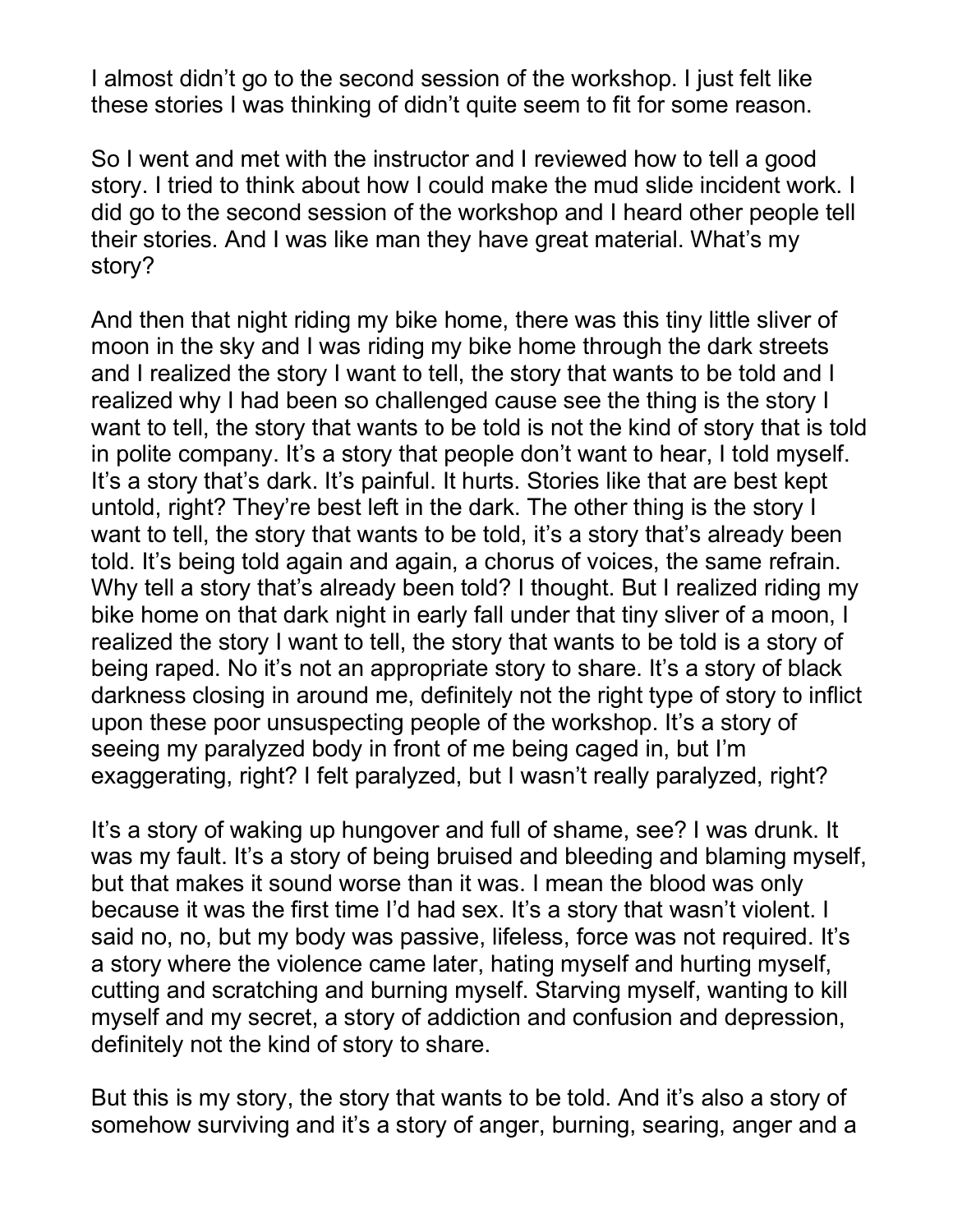I almost didn't go to the second session of the workshop. I just felt like these stories I was thinking of didn't quite seem to fit for some reason.

So I went and met with the instructor and I reviewed how to tell a good story. I tried to think about how I could make the mud slide incident work. I did go to the second session of the workshop and I heard other people tell their stories. And I was like man they have great material. What's my story?

And then that night riding my bike home, there was this tiny little sliver of moon in the sky and I was riding my bike home through the dark streets and I realized the story I want to tell, the story that wants to be told and I realized why I had been so challenged cause see the thing is the story I want to tell, the story that wants to be told is not the kind of story that is told in polite company. It's a story that people don't want to hear, I told myself. It's a story that's dark. It's painful. It hurts. Stories like that are best kept untold, right? They're best left in the dark. The other thing is the story I want to tell, the story that wants to be told, it's a story that's already been told. It's being told again and again, a chorus of voices, the same refrain. Why tell a story that's already been told? I thought. But I realized riding my bike home on that dark night in early fall under that tiny sliver of a moon, I realized the story I want to tell, the story that wants to be told is a story of being raped. No it's not an appropriate story to share. It's a story of black darkness closing in around me, definitely not the right type of story to inflict upon these poor unsuspecting people of the workshop. It's a story of seeing my paralyzed body in front of me being caged in, but I'm exaggerating, right? I felt paralyzed, but I wasn't really paralyzed, right?

It's a story of waking up hungover and full of shame, see? I was drunk. It was my fault. It's a story of being bruised and bleeding and blaming myself, but that makes it sound worse than it was. I mean the blood was only because it was the first time I'd had sex. It's a story that wasn't violent. I said no, no, but my body was passive, lifeless, force was not required. It's a story where the violence came later, hating myself and hurting myself, cutting and scratching and burning myself. Starving myself, wanting to kill myself and my secret, a story of addiction and confusion and depression, definitely not the kind of story to share.

But this is my story, the story that wants to be told. And it's also a story of somehow surviving and it's a story of anger, burning, searing, anger and a